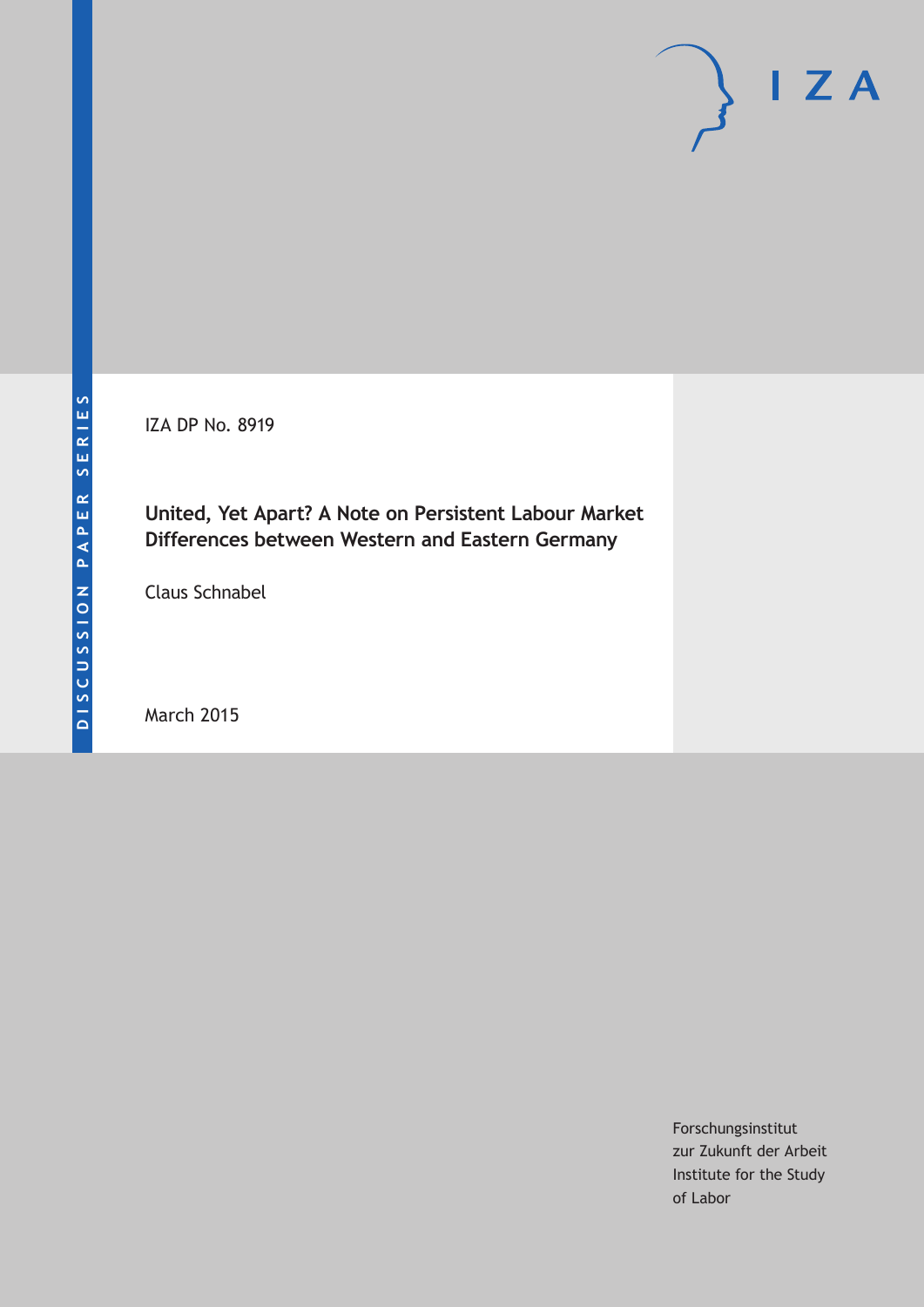IZA DP No. 8919

# **United, Yet Apart? A Note on Persistent Labour Market Differences between Western and Eastern Germany**

Claus Schnabel

March 2015

Forschungsinstitut zur Zukunft der Arbeit Institute for the Study of Labor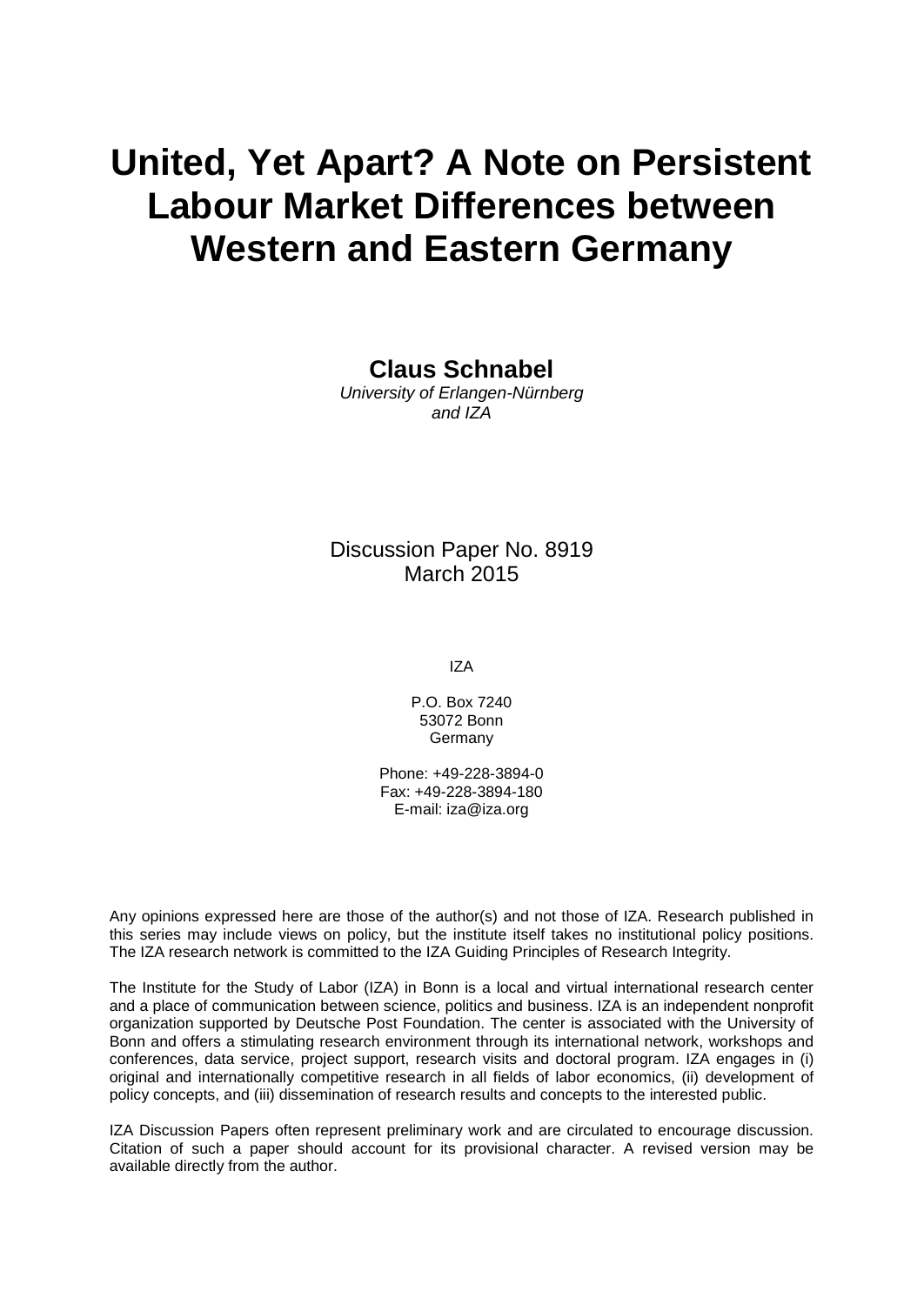# **United, Yet Apart? A Note on Persistent Labour Market Differences between Western and Eastern Germany**

**Claus Schnabel**

*University of Erlangen-Nürnberg and IZA*

Discussion Paper No. 8919 March 2015

IZA

P.O. Box 7240 53072 Bonn **Germany** 

Phone: +49-228-3894-0 Fax: +49-228-3894-180 E-mail: iza@iza.org

Any opinions expressed here are those of the author(s) and not those of IZA. Research published in this series may include views on policy, but the institute itself takes no institutional policy positions. The IZA research network is committed to the IZA Guiding Principles of Research Integrity.

The Institute for the Study of Labor (IZA) in Bonn is a local and virtual international research center and a place of communication between science, politics and business. IZA is an independent nonprofit organization supported by Deutsche Post Foundation. The center is associated with the University of Bonn and offers a stimulating research environment through its international network, workshops and conferences, data service, project support, research visits and doctoral program. IZA engages in (i) original and internationally competitive research in all fields of labor economics, (ii) development of policy concepts, and (iii) dissemination of research results and concepts to the interested public.

<span id="page-1-0"></span>IZA Discussion Papers often represent preliminary work and are circulated to encourage discussion. Citation of such a paper should account for its provisional character. A revised version may be available directly from the author.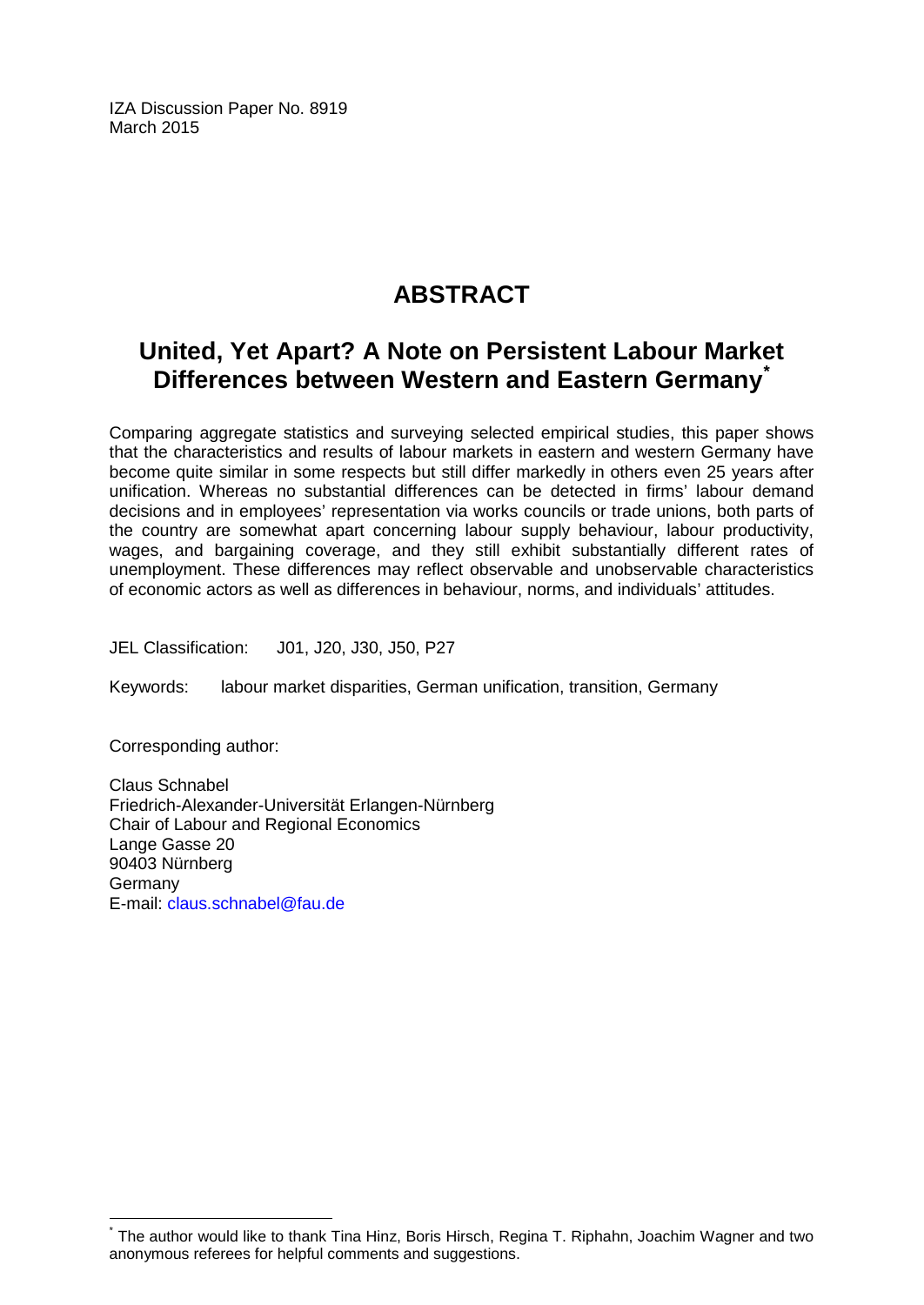IZA Discussion Paper No. 8919 March 2015

# **ABSTRACT**

# **United, Yet Apart? A Note on Persistent Labour Market Differences between Western and Eastern Germany[\\*](#page-1-0)**

Comparing aggregate statistics and surveying selected empirical studies, this paper shows that the characteristics and results of labour markets in eastern and western Germany have become quite similar in some respects but still differ markedly in others even 25 years after unification. Whereas no substantial differences can be detected in firms' labour demand decisions and in employees' representation via works councils or trade unions, both parts of the country are somewhat apart concerning labour supply behaviour, labour productivity, wages, and bargaining coverage, and they still exhibit substantially different rates of unemployment. These differences may reflect observable and unobservable characteristics of economic actors as well as differences in behaviour, norms, and individuals' attitudes.

JEL Classification: J01, J20, J30, J50, P27

Keywords: labour market disparities, German unification, transition, Germany

Corresponding author:

Claus Schnabel Friedrich-Alexander-Universität Erlangen-Nürnberg Chair of Labour and Regional Economics Lange Gasse 20 90403 Nürnberg Germany E-mail: [claus.schnabel@fau.de](mailto:claus.schnabel@fau.de)

The author would like to thank Tina Hinz, Boris Hirsch, Regina T. Riphahn, Joachim Wagner and two anonymous referees for helpful comments and suggestions.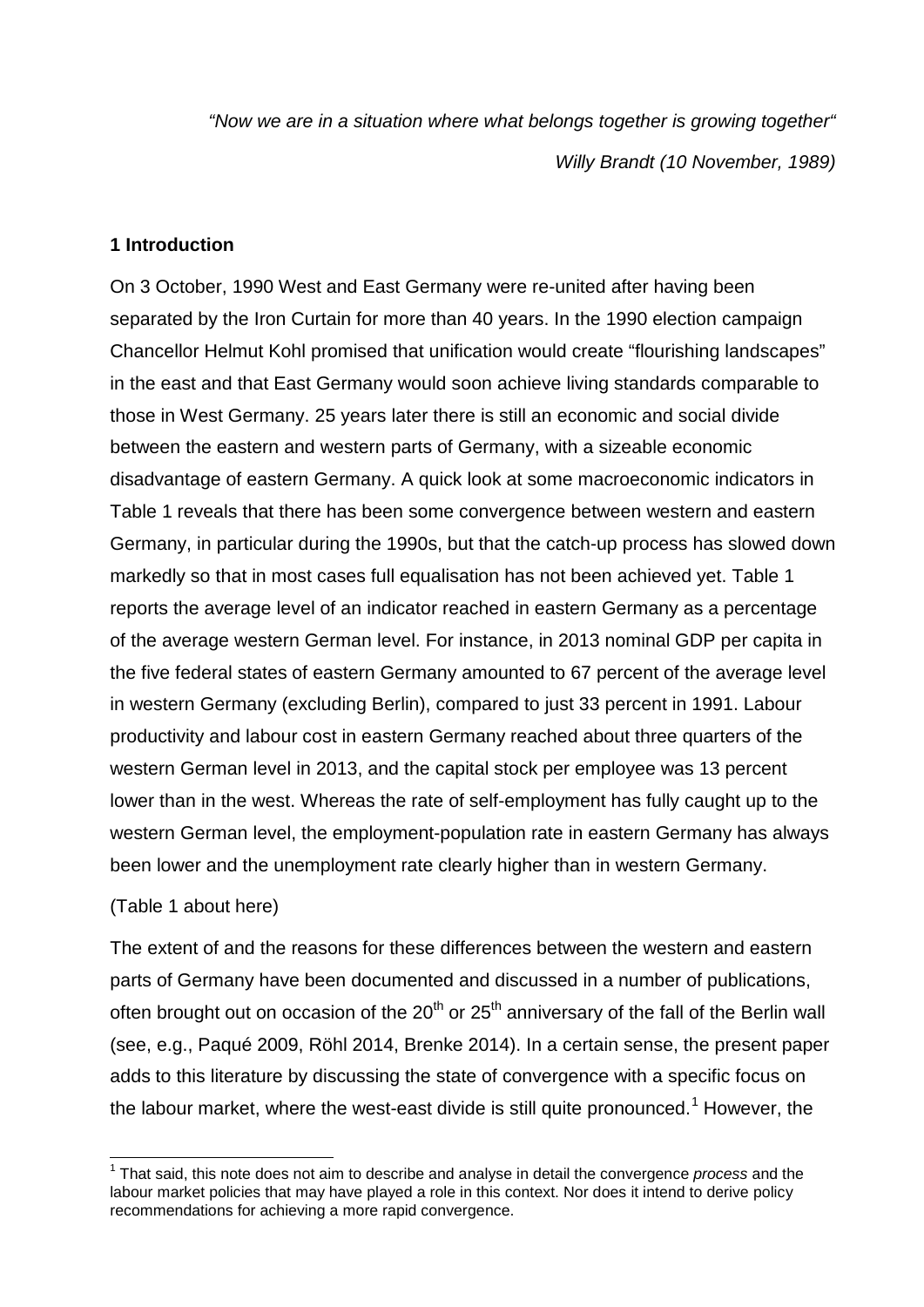*"Now we are in a situation where what belongs together is growing together" Willy Brandt (10 November, 1989)*

### **1 Introduction**

On 3 October, 1990 West and East Germany were re-united after having been separated by the Iron Curtain for more than 40 years. In the 1990 election campaign Chancellor Helmut Kohl promised that unification would create "flourishing landscapes" in the east and that East Germany would soon achieve living standards comparable to those in West Germany. 25 years later there is still an economic and social divide between the eastern and western parts of Germany, with a sizeable economic disadvantage of eastern Germany. A quick look at some macroeconomic indicators in Table 1 reveals that there has been some convergence between western and eastern Germany, in particular during the 1990s, but that the catch-up process has slowed down markedly so that in most cases full equalisation has not been achieved yet. Table 1 reports the average level of an indicator reached in eastern Germany as a percentage of the average western German level. For instance, in 2013 nominal GDP per capita in the five federal states of eastern Germany amounted to 67 percent of the average level in western Germany (excluding Berlin), compared to just 33 percent in 1991. Labour productivity and labour cost in eastern Germany reached about three quarters of the western German level in 2013, and the capital stock per employee was 13 percent lower than in the west. Whereas the rate of self-employment has fully caught up to the western German level, the employment-population rate in eastern Germany has always been lower and the unemployment rate clearly higher than in western Germany.

# (Table 1 about here)

The extent of and the reasons for these differences between the western and eastern parts of Germany have been documented and discussed in a number of publications, often brought out on occasion of the  $20<sup>th</sup>$  or  $25<sup>th</sup>$  anniversary of the fall of the Berlin wall (see, e.g., Paqué 2009, Röhl 2014, Brenke 2014). In a certain sense, the present paper adds to this literature by discussing the state of convergence with a specific focus on the labour market, where the west-east divide is still quite pronounced.<sup>1</sup> However, the

<span id="page-3-0"></span> <sup>1</sup> That said, this note does not aim to describe and analyse in detail the convergence *process* and the labour market policies that may have played a role in this context. Nor does it intend to derive policy recommendations for achieving a more rapid convergence.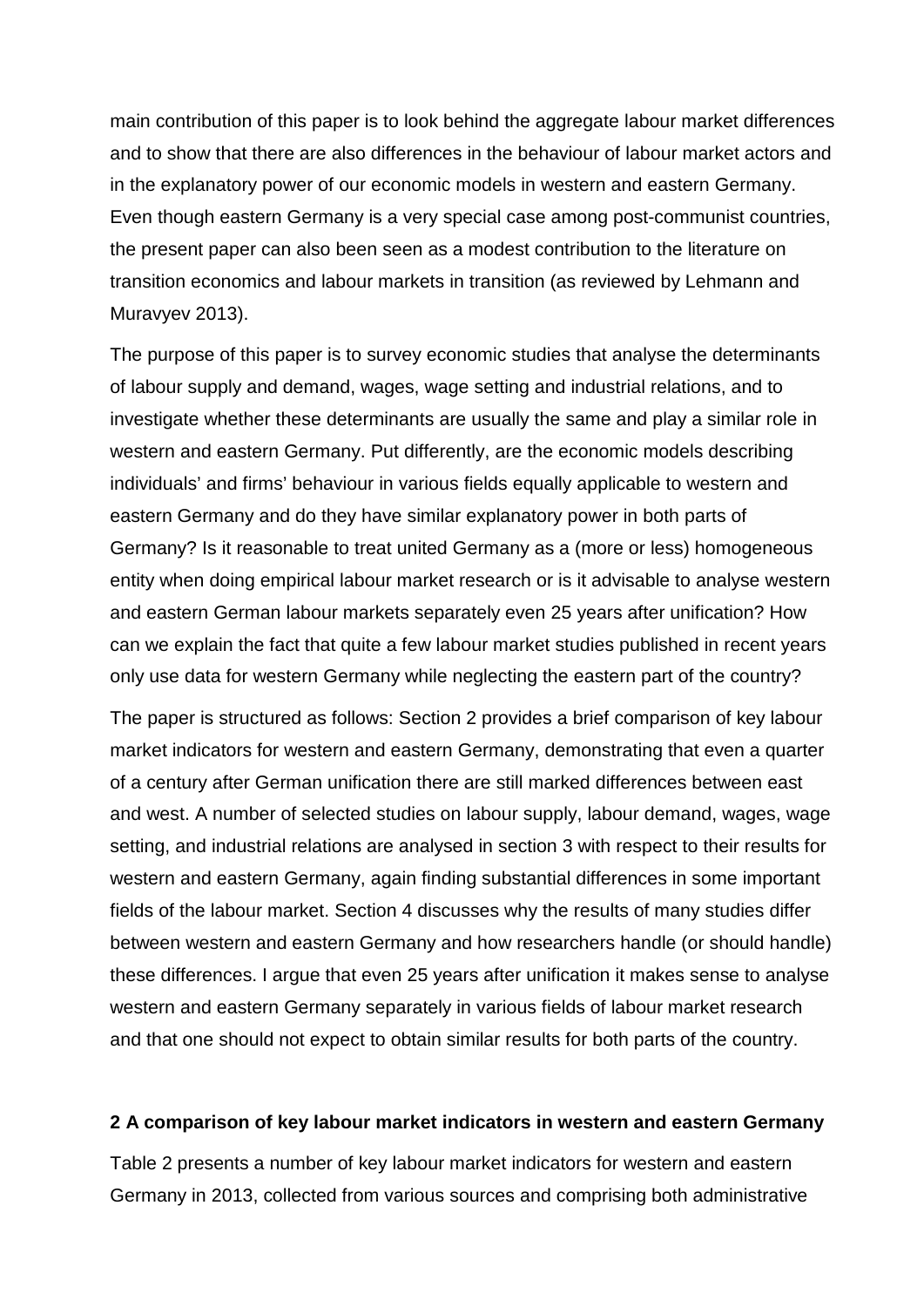main contribution of this paper is to look behind the aggregate labour market differences and to show that there are also differences in the behaviour of labour market actors and in the explanatory power of our economic models in western and eastern Germany. Even though eastern Germany is a very special case among post-communist countries, the present paper can also been seen as a modest contribution to the literature on transition economics and labour markets in transition (as reviewed by Lehmann and Muravyev 2013).

The purpose of this paper is to survey economic studies that analyse the determinants of labour supply and demand, wages, wage setting and industrial relations, and to investigate whether these determinants are usually the same and play a similar role in western and eastern Germany. Put differently, are the economic models describing individuals' and firms' behaviour in various fields equally applicable to western and eastern Germany and do they have similar explanatory power in both parts of Germany? Is it reasonable to treat united Germany as a (more or less) homogeneous entity when doing empirical labour market research or is it advisable to analyse western and eastern German labour markets separately even 25 years after unification? How can we explain the fact that quite a few labour market studies published in recent years only use data for western Germany while neglecting the eastern part of the country?

The paper is structured as follows: Section 2 provides a brief comparison of key labour market indicators for western and eastern Germany, demonstrating that even a quarter of a century after German unification there are still marked differences between east and west. A number of selected studies on labour supply, labour demand, wages, wage setting, and industrial relations are analysed in section 3 with respect to their results for western and eastern Germany, again finding substantial differences in some important fields of the labour market. Section 4 discusses why the results of many studies differ between western and eastern Germany and how researchers handle (or should handle) these differences. I argue that even 25 years after unification it makes sense to analyse western and eastern Germany separately in various fields of labour market research and that one should not expect to obtain similar results for both parts of the country.

#### **2 A comparison of key labour market indicators in western and eastern Germany**

Table 2 presents a number of key labour market indicators for western and eastern Germany in 2013, collected from various sources and comprising both administrative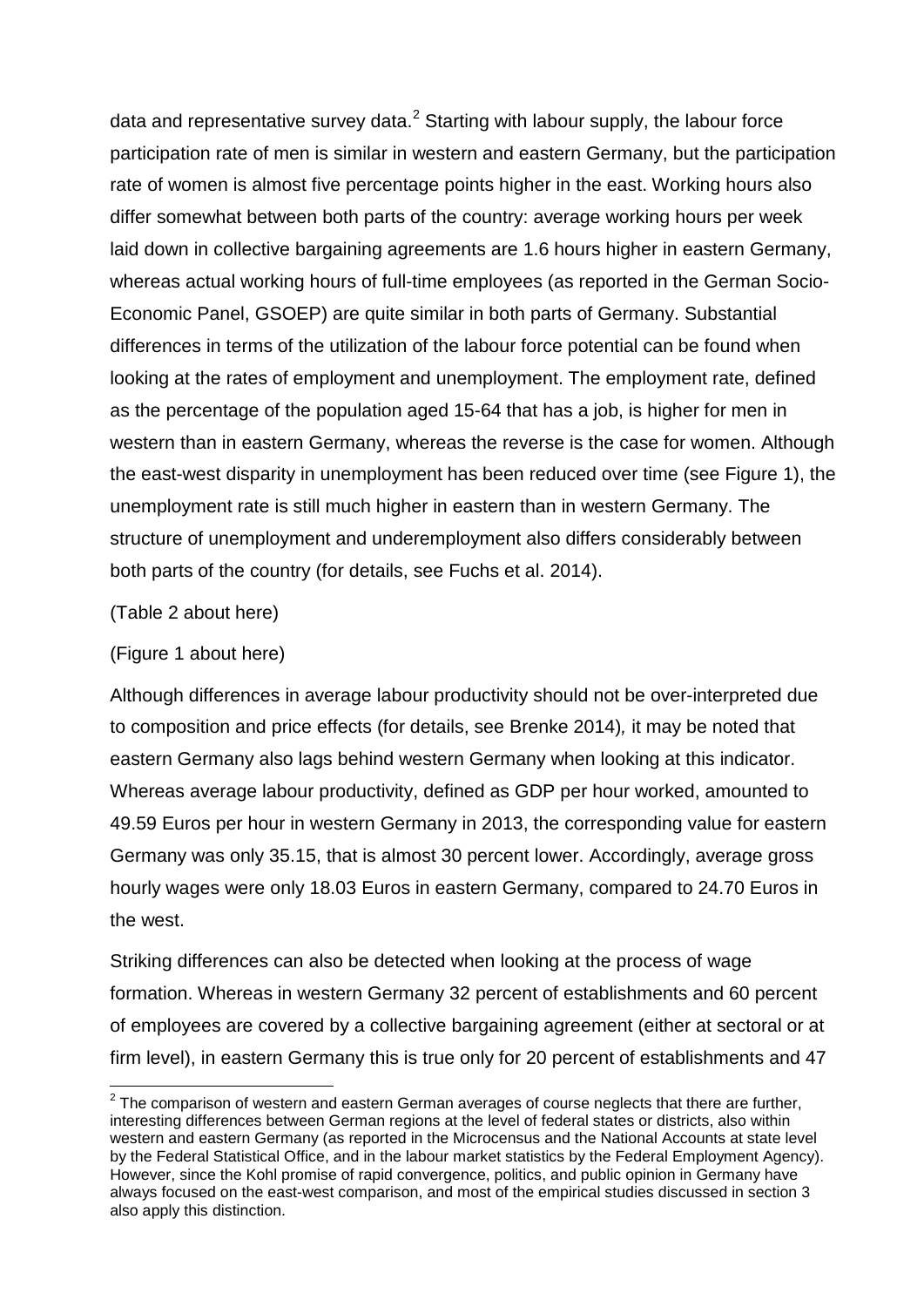data and representative survey data. $<sup>2</sup>$  $<sup>2</sup>$  $<sup>2</sup>$  Starting with labour supply, the labour force</sup> participation rate of men is similar in western and eastern Germany, but the participation rate of women is almost five percentage points higher in the east. Working hours also differ somewhat between both parts of the country: average working hours per week laid down in collective bargaining agreements are 1.6 hours higher in eastern Germany, whereas actual working hours of full-time employees (as reported in the German Socio-Economic Panel, GSOEP) are quite similar in both parts of Germany. Substantial differences in terms of the utilization of the labour force potential can be found when looking at the rates of employment and unemployment. The employment rate, defined as the percentage of the population aged 15-64 that has a job, is higher for men in western than in eastern Germany, whereas the reverse is the case for women. Although the east-west disparity in unemployment has been reduced over time (see Figure 1), the unemployment rate is still much higher in eastern than in western Germany. The structure of unemployment and underemployment also differs considerably between both parts of the country (for details, see Fuchs et al. 2014).

(Table 2 about here)

### (Figure 1 about here)

Although differences in average labour productivity should not be over-interpreted due to composition and price effects (for details, see Brenke 2014)*,* it may be noted that eastern Germany also lags behind western Germany when looking at this indicator. Whereas average labour productivity, defined as GDP per hour worked, amounted to 49.59 Euros per hour in western Germany in 2013, the corresponding value for eastern Germany was only 35.15, that is almost 30 percent lower. Accordingly, average gross hourly wages were only 18.03 Euros in eastern Germany, compared to 24.70 Euros in the west.

Striking differences can also be detected when looking at the process of wage formation. Whereas in western Germany 32 percent of establishments and 60 percent of employees are covered by a collective bargaining agreement (either at sectoral or at firm level), in eastern Germany this is true only for 20 percent of establishments and 47

<span id="page-5-0"></span> $2$  The comparison of western and eastern German averages of course neglects that there are further, interesting differences between German regions at the level of federal states or districts, also within western and eastern Germany (as reported in the Microcensus and the National Accounts at state level by the Federal Statistical Office, and in the labour market statistics by the Federal Employment Agency). However, since the Kohl promise of rapid convergence, politics, and public opinion in Germany have always focused on the east-west comparison, and most of the empirical studies discussed in section 3 also apply this distinction.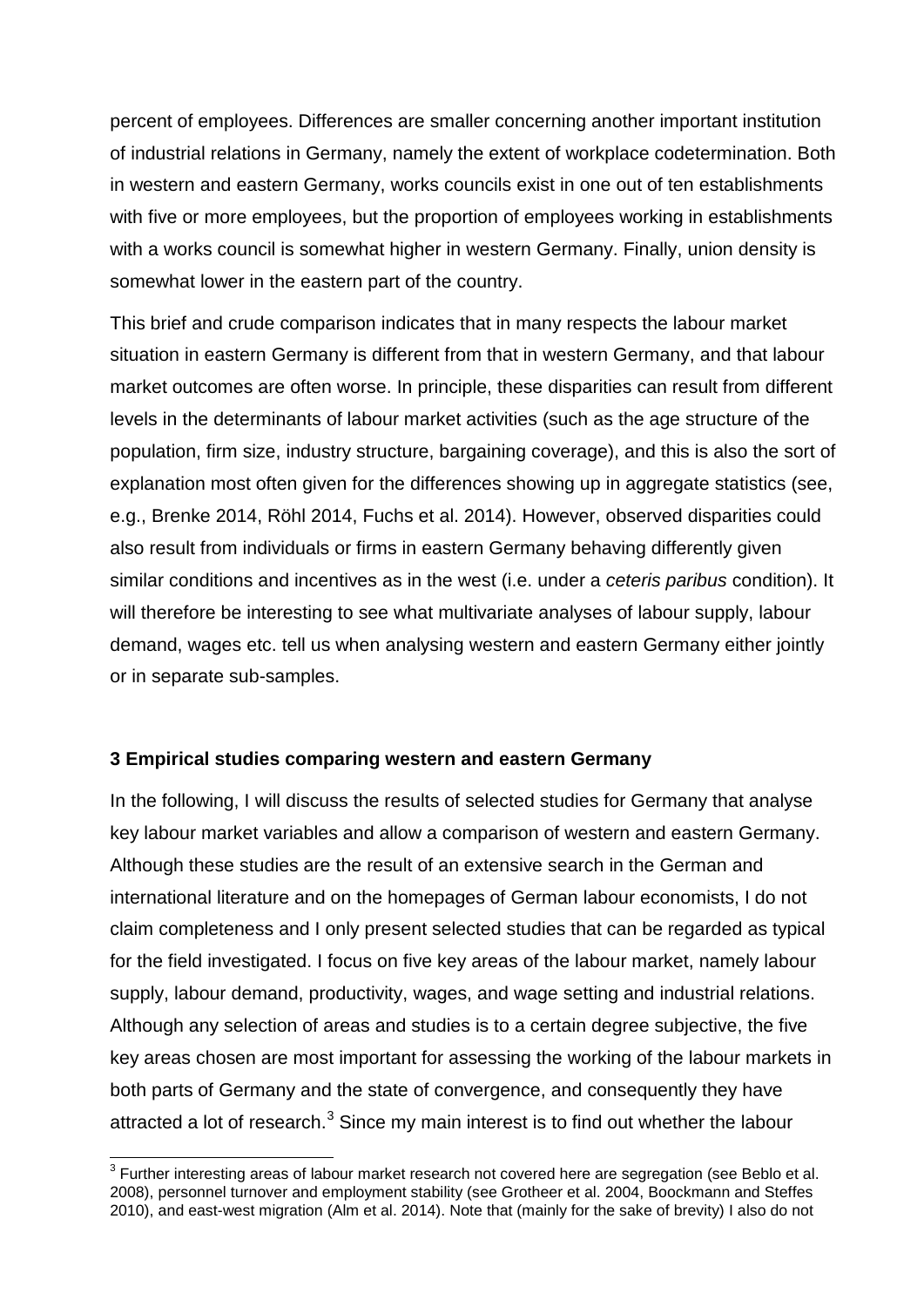percent of employees. Differences are smaller concerning another important institution of industrial relations in Germany, namely the extent of workplace codetermination. Both in western and eastern Germany, works councils exist in one out of ten establishments with five or more employees, but the proportion of employees working in establishments with a works council is somewhat higher in western Germany. Finally, union density is somewhat lower in the eastern part of the country.

This brief and crude comparison indicates that in many respects the labour market situation in eastern Germany is different from that in western Germany, and that labour market outcomes are often worse. In principle, these disparities can result from different levels in the determinants of labour market activities (such as the age structure of the population, firm size, industry structure, bargaining coverage), and this is also the sort of explanation most often given for the differences showing up in aggregate statistics (see, e.g., Brenke 2014, Röhl 2014, Fuchs et al. 2014). However, observed disparities could also result from individuals or firms in eastern Germany behaving differently given similar conditions and incentives as in the west (i.e. under a *ceteris paribus* condition). It will therefore be interesting to see what multivariate analyses of labour supply, labour demand, wages etc. tell us when analysing western and eastern Germany either jointly or in separate sub-samples.

# **3 Empirical studies comparing western and eastern Germany**

In the following, I will discuss the results of selected studies for Germany that analyse key labour market variables and allow a comparison of western and eastern Germany. Although these studies are the result of an extensive search in the German and international literature and on the homepages of German labour economists, I do not claim completeness and I only present selected studies that can be regarded as typical for the field investigated. I focus on five key areas of the labour market, namely labour supply, labour demand, productivity, wages, and wage setting and industrial relations. Although any selection of areas and studies is to a certain degree subjective, the five key areas chosen are most important for assessing the working of the labour markets in both parts of Germany and the state of convergence, and consequently they have attracted a lot of research.<sup>[3](#page-5-0)</sup> Since my main interest is to find out whether the labour

<span id="page-6-0"></span><sup>&</sup>lt;sup>3</sup> Further interesting areas of labour market research not covered here are segregation (see Beblo et al. 2008), personnel turnover and employment stability (see Grotheer et al. 2004, Boockmann and Steffes 2010), and east-west migration (Alm et al. 2014). Note that (mainly for the sake of brevity) I also do not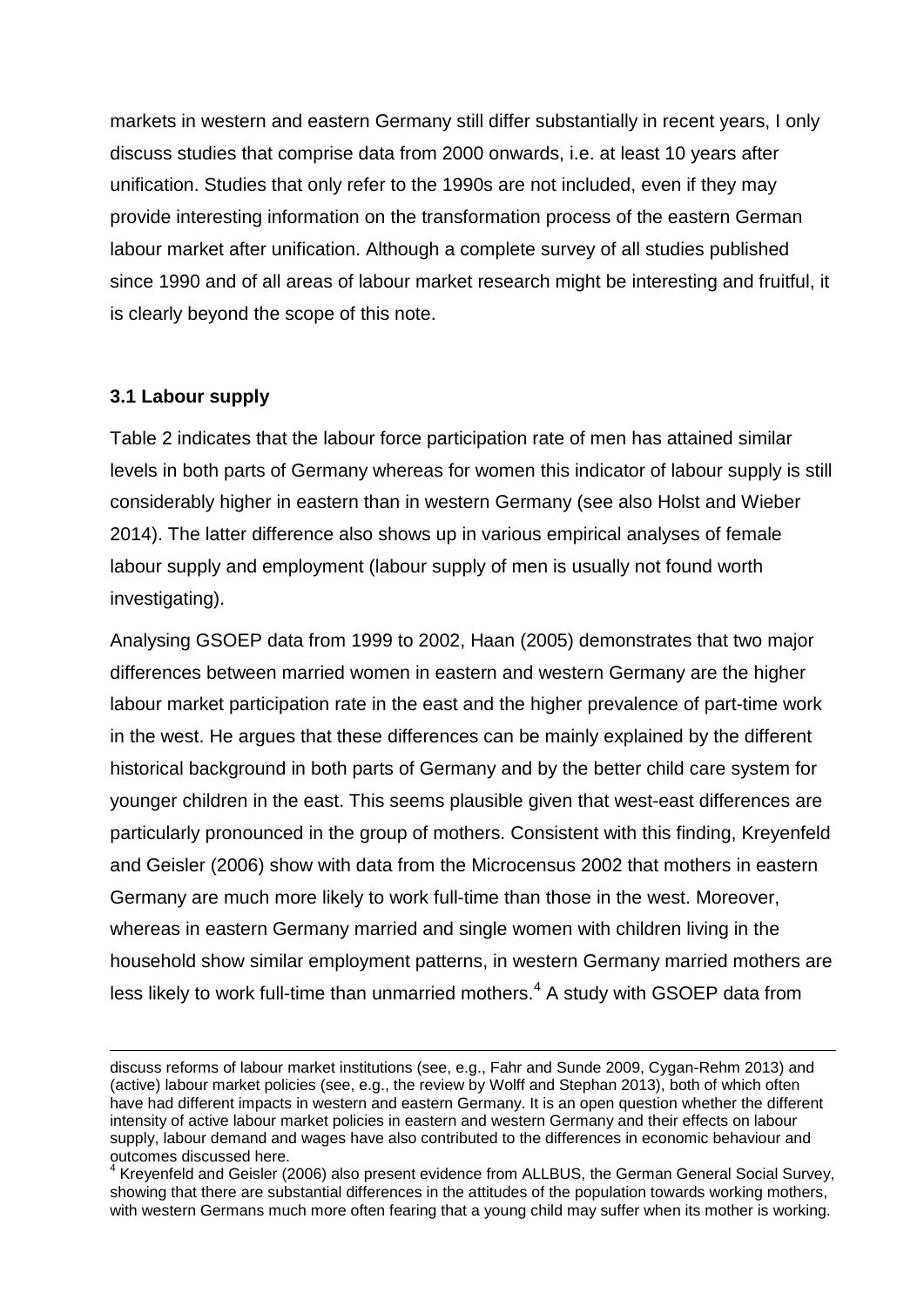markets in western and eastern Germany still differ substantially in recent years, I only discuss studies that comprise data from 2000 onwards, i.e. at least 10 years after unification. Studies that only refer to the 1990s are not included, even if they may provide interesting information on the transformation process of the eastern German labour market after unification. Although a complete survey of all studies published since 1990 and of all areas of labour market research might be interesting and fruitful, it is clearly beyond the scope of this note.

# **3.1 Labour supply**

Table 2 indicates that the labour force participation rate of men has attained similar levels in both parts of Germany whereas for women this indicator of labour supply is still considerably higher in eastern than in western Germany (see also Holst and Wieber 2014). The latter difference also shows up in various empirical analyses of female labour supply and employment (labour supply of men is usually not found worth investigating).

Analysing GSOEP data from 1999 to 2002, Haan (2005) demonstrates that two major differences between married women in eastern and western Germany are the higher labour market participation rate in the east and the higher prevalence of part-time work in the west. He argues that these differences can be mainly explained by the different historical background in both parts of Germany and by the better child care system for younger children in the east. This seems plausible given that west-east differences are particularly pronounced in the group of mothers. Consistent with this finding, Kreyenfeld and Geisler (2006) show with data from the Microcensus 2002 that mothers in eastern Germany are much more likely to work full-time than those in the west. Moreover, whereas in eastern Germany married and single women with children living in the household show similar employment patterns, in western Germany married mothers are less likely to work full-time than unmarried mothers.<sup>[4](#page-6-0)</sup> A study with GSOEP data from

discuss reforms of labour market institutions (see, e.g., Fahr and Sunde 2009, Cygan-Rehm 2013) and (active) labour market policies (see, e.g., the review by Wolff and Stephan 2013), both of which often have had different impacts in western and eastern Germany. It is an open question whether the different intensity of active labour market policies in eastern and western Germany and their effects on labour supply, labour demand and wages have also contributed to the differences in economic behaviour and outcomes discussed here.

<span id="page-7-0"></span><sup>4</sup> Kreyenfeld and Geisler (2006) also present evidence from ALLBUS, the German General Social Survey, showing that there are substantial differences in the attitudes of the population towards working mothers, with western Germans much more often fearing that a young child may suffer when its mother is working.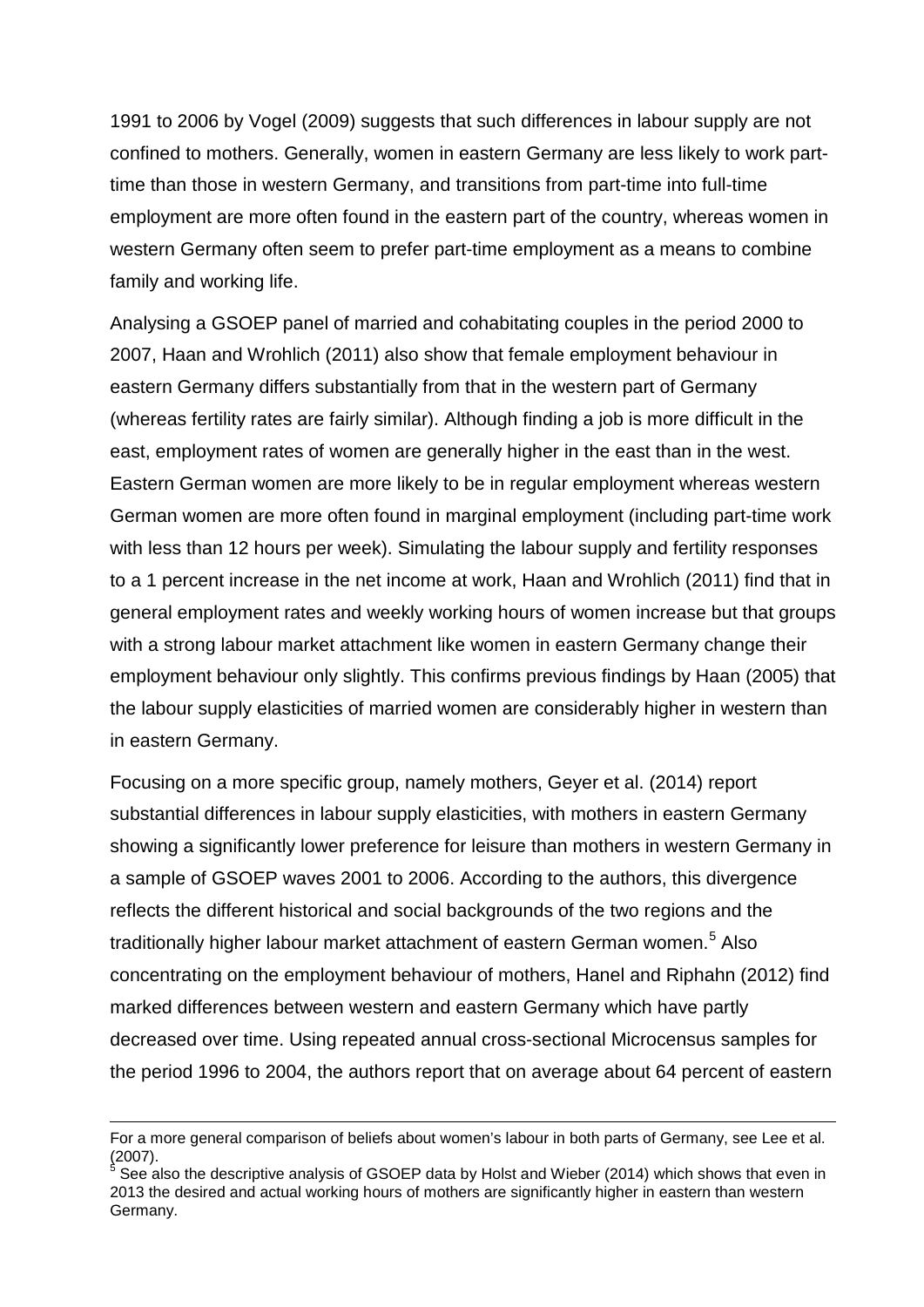1991 to 2006 by Vogel (2009) suggests that such differences in labour supply are not confined to mothers. Generally, women in eastern Germany are less likely to work parttime than those in western Germany, and transitions from part-time into full-time employment are more often found in the eastern part of the country, whereas women in western Germany often seem to prefer part-time employment as a means to combine family and working life.

Analysing a GSOEP panel of married and cohabitating couples in the period 2000 to 2007, Haan and Wrohlich (2011) also show that female employment behaviour in eastern Germany differs substantially from that in the western part of Germany (whereas fertility rates are fairly similar). Although finding a job is more difficult in the east, employment rates of women are generally higher in the east than in the west. Eastern German women are more likely to be in regular employment whereas western German women are more often found in marginal employment (including part-time work with less than 12 hours per week). Simulating the labour supply and fertility responses to a 1 percent increase in the net income at work, Haan and Wrohlich (2011) find that in general employment rates and weekly working hours of women increase but that groups with a strong labour market attachment like women in eastern Germany change their employment behaviour only slightly. This confirms previous findings by Haan (2005) that the labour supply elasticities of married women are considerably higher in western than in eastern Germany.

Focusing on a more specific group, namely mothers, Geyer et al. (2014) report substantial differences in labour supply elasticities, with mothers in eastern Germany showing a significantly lower preference for leisure than mothers in western Germany in a sample of GSOEP waves 2001 to 2006. According to the authors, this divergence reflects the different historical and social backgrounds of the two regions and the traditionally higher labour market attachment of eastern German women. [5](#page-7-0) Also concentrating on the employment behaviour of mothers, Hanel and Riphahn (2012) find marked differences between western and eastern Germany which have partly decreased over time. Using repeated annual cross-sectional Microcensus samples for the period 1996 to 2004, the authors report that on average about 64 percent of eastern

<span id="page-8-0"></span>-

For a more general comparison of beliefs about women's labour in both parts of Germany, see Lee et al.  $(2007)$ .

<sup>5</sup> See also the descriptive analysis of GSOEP data by Holst and Wieber (2014) which shows that even in 2013 the desired and actual working hours of mothers are significantly higher in eastern than western Germany.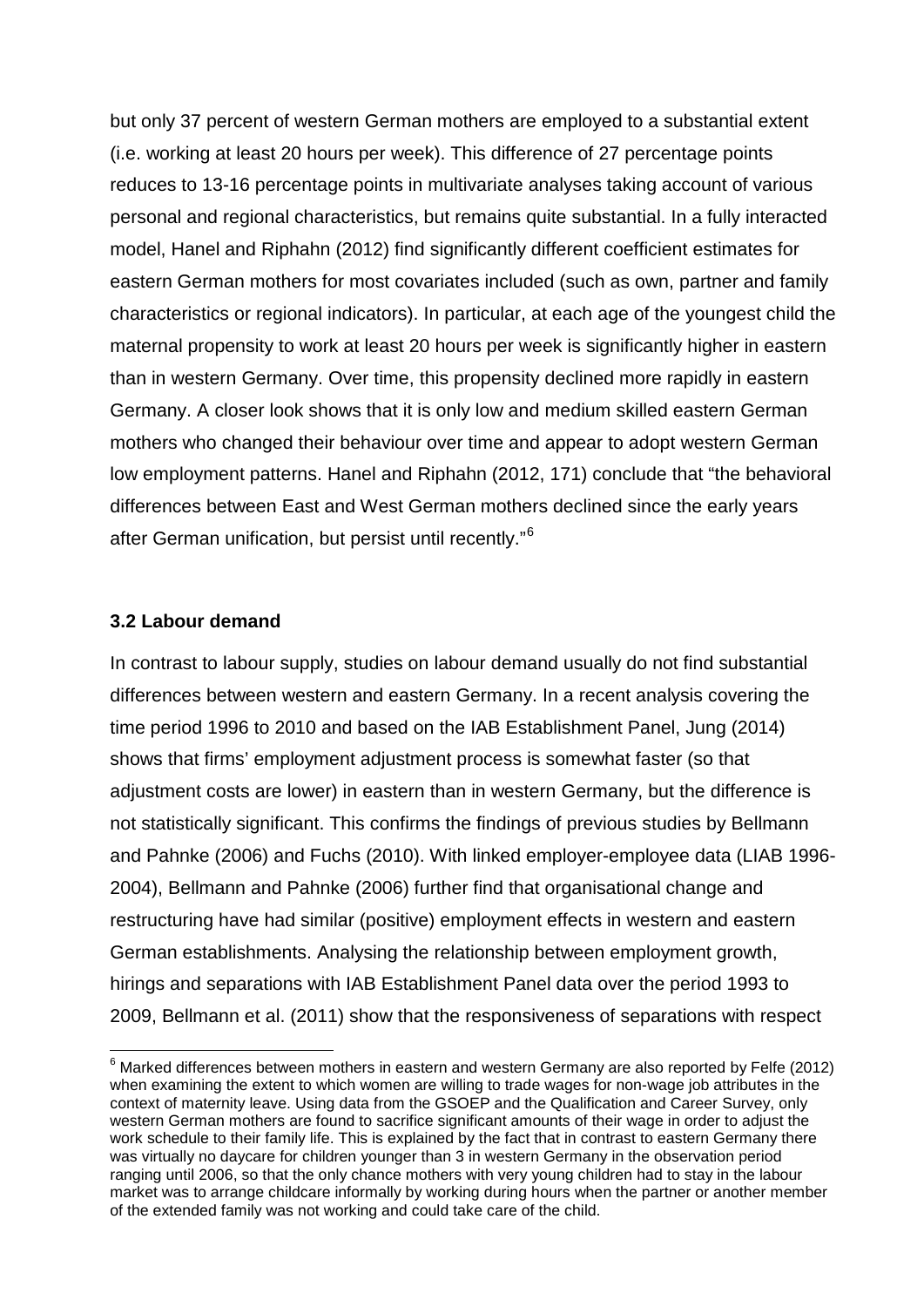but only 37 percent of western German mothers are employed to a substantial extent (i.e. working at least 20 hours per week). This difference of 27 percentage points reduces to 13-16 percentage points in multivariate analyses taking account of various personal and regional characteristics, but remains quite substantial. In a fully interacted model, Hanel and Riphahn (2012) find significantly different coefficient estimates for eastern German mothers for most covariates included (such as own, partner and family characteristics or regional indicators). In particular, at each age of the youngest child the maternal propensity to work at least 20 hours per week is significantly higher in eastern than in western Germany. Over time, this propensity declined more rapidly in eastern Germany. A closer look shows that it is only low and medium skilled eastern German mothers who changed their behaviour over time and appear to adopt western German low employment patterns. Hanel and Riphahn (2012, 171) conclude that "the behavioral differences between East and West German mothers declined since the early years after German unification, but persist until recently."[6](#page-8-0)

# **3.2 Labour demand**

In contrast to labour supply, studies on labour demand usually do not find substantial differences between western and eastern Germany. In a recent analysis covering the time period 1996 to 2010 and based on the IAB Establishment Panel, Jung (2014) shows that firms' employment adjustment process is somewhat faster (so that adjustment costs are lower) in eastern than in western Germany, but the difference is not statistically significant. This confirms the findings of previous studies by Bellmann and Pahnke (2006) and Fuchs (2010). With linked employer-employee data (LIAB 1996- 2004), Bellmann and Pahnke (2006) further find that organisational change and restructuring have had similar (positive) employment effects in western and eastern German establishments. Analysing the relationship between employment growth, hirings and separations with IAB Establishment Panel data over the period 1993 to 2009, Bellmann et al. (2011) show that the responsiveness of separations with respect

<span id="page-9-0"></span> $6$  Marked differences between mothers in eastern and western Germany are also reported by Felfe (2012) when examining the extent to which women are willing to trade wages for non-wage job attributes in the context of maternity leave. Using data from the GSOEP and the Qualification and Career Survey, only western German mothers are found to sacrifice significant amounts of their wage in order to adjust the work schedule to their family life. This is explained by the fact that in contrast to eastern Germany there was virtually no daycare for children younger than 3 in western Germany in the observation period ranging until 2006, so that the only chance mothers with very young children had to stay in the labour market was to arrange childcare informally by working during hours when the partner or another member of the extended family was not working and could take care of the child.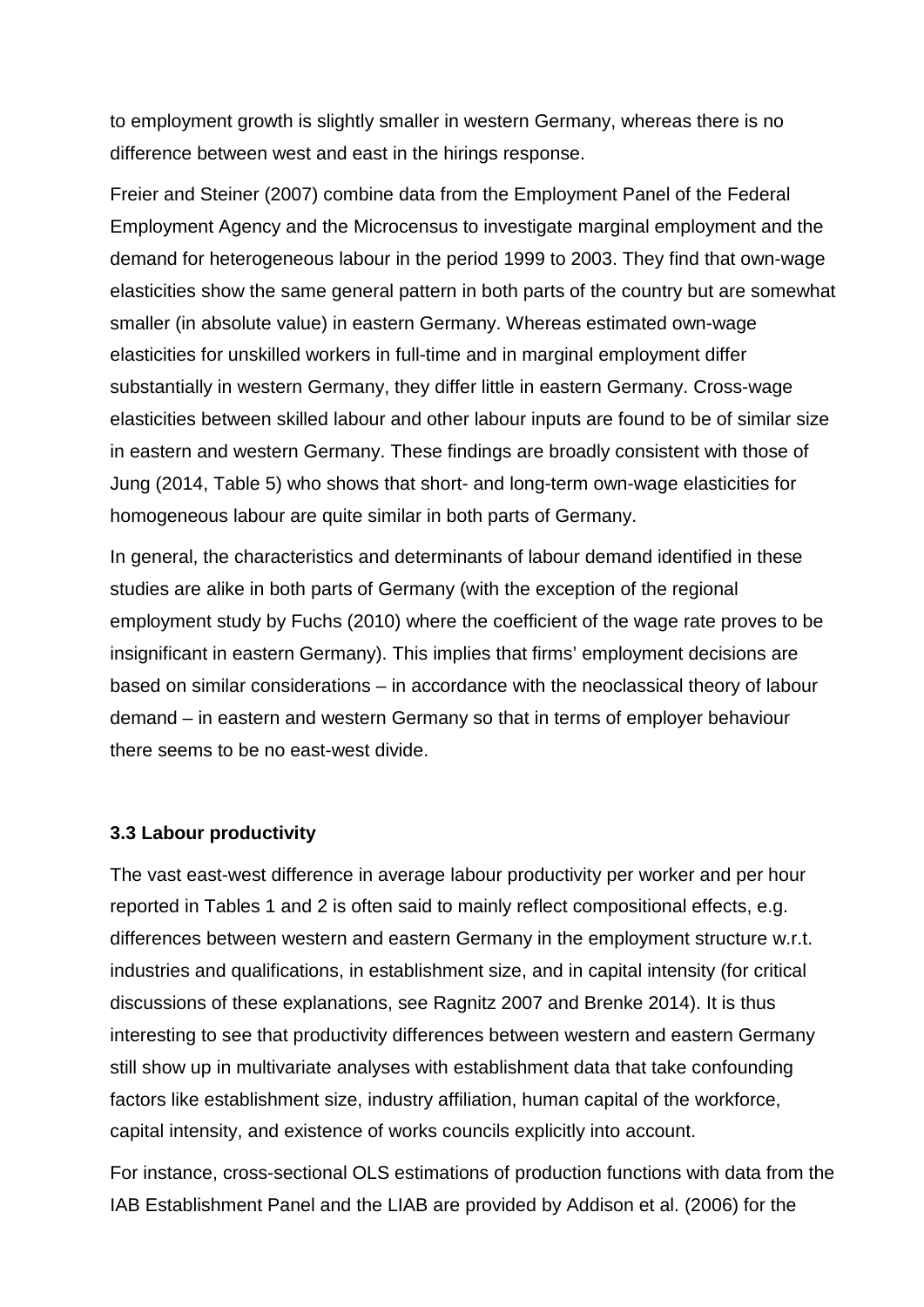to employment growth is slightly smaller in western Germany, whereas there is no difference between west and east in the hirings response.

Freier and Steiner (2007) combine data from the Employment Panel of the Federal Employment Agency and the Microcensus to investigate marginal employment and the demand for heterogeneous labour in the period 1999 to 2003. They find that own-wage elasticities show the same general pattern in both parts of the country but are somewhat smaller (in absolute value) in eastern Germany. Whereas estimated own-wage elasticities for unskilled workers in full-time and in marginal employment differ substantially in western Germany, they differ little in eastern Germany. Cross-wage elasticities between skilled labour and other labour inputs are found to be of similar size in eastern and western Germany. These findings are broadly consistent with those of Jung (2014, Table 5) who shows that short- and long-term own-wage elasticities for homogeneous labour are quite similar in both parts of Germany.

In general, the characteristics and determinants of labour demand identified in these studies are alike in both parts of Germany (with the exception of the regional employment study by Fuchs (2010) where the coefficient of the wage rate proves to be insignificant in eastern Germany). This implies that firms' employment decisions are based on similar considerations – in accordance with the neoclassical theory of labour demand – in eastern and western Germany so that in terms of employer behaviour there seems to be no east-west divide.

# **3.3 Labour productivity**

The vast east-west difference in average labour productivity per worker and per hour reported in Tables 1 and 2 is often said to mainly reflect compositional effects, e.g. differences between western and eastern Germany in the employment structure w.r.t. industries and qualifications, in establishment size, and in capital intensity (for critical discussions of these explanations, see Ragnitz 2007 and Brenke 2014). It is thus interesting to see that productivity differences between western and eastern Germany still show up in multivariate analyses with establishment data that take confounding factors like establishment size, industry affiliation, human capital of the workforce, capital intensity, and existence of works councils explicitly into account.

For instance, cross-sectional OLS estimations of production functions with data from the IAB Establishment Panel and the LIAB are provided by Addison et al. (2006) for the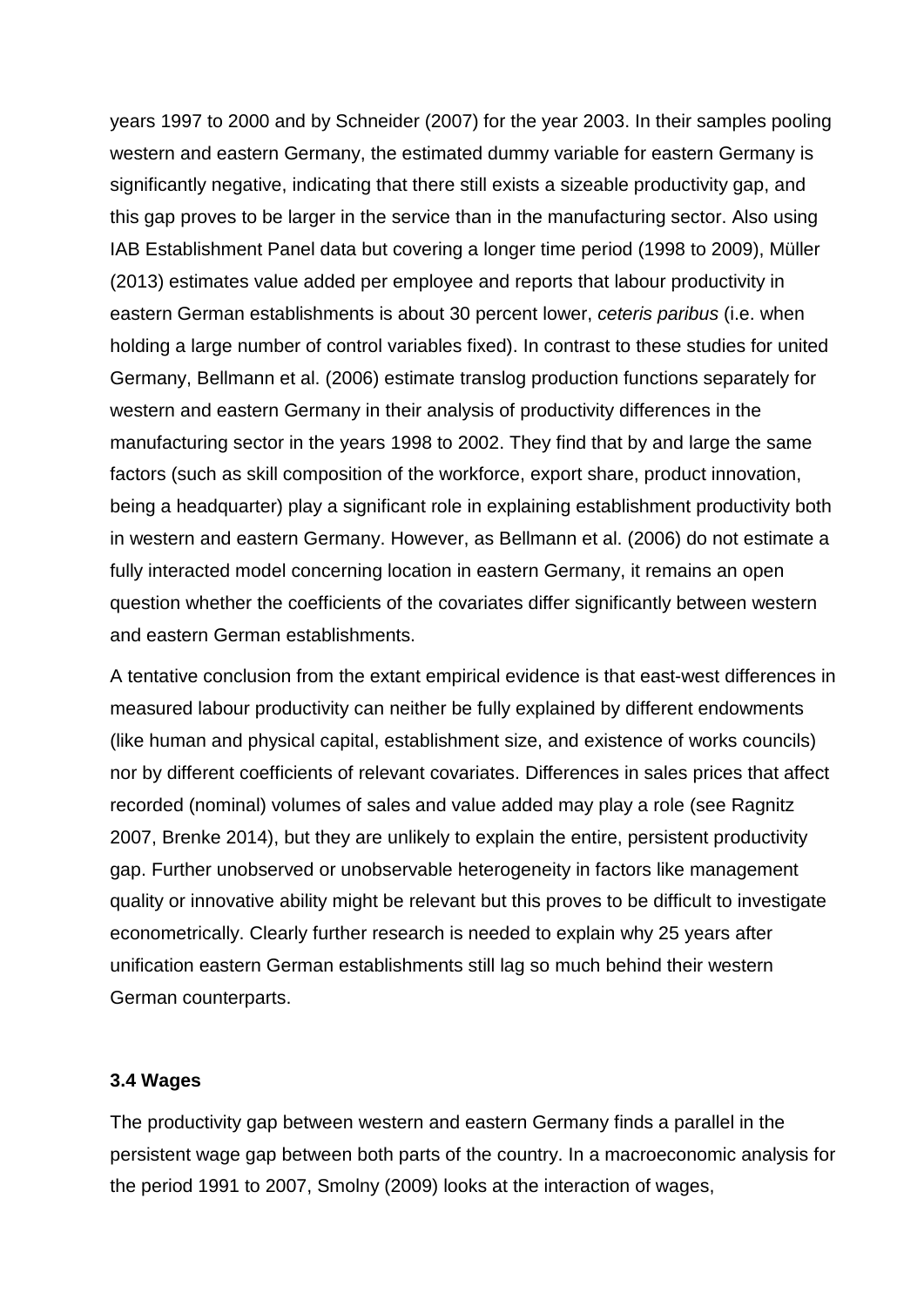years 1997 to 2000 and by Schneider (2007) for the year 2003. In their samples pooling western and eastern Germany, the estimated dummy variable for eastern Germany is significantly negative, indicating that there still exists a sizeable productivity gap, and this gap proves to be larger in the service than in the manufacturing sector. Also using IAB Establishment Panel data but covering a longer time period (1998 to 2009), Müller (2013) estimates value added per employee and reports that labour productivity in eastern German establishments is about 30 percent lower, *ceteris paribus* (i.e. when holding a large number of control variables fixed). In contrast to these studies for united Germany, Bellmann et al. (2006) estimate translog production functions separately for western and eastern Germany in their analysis of productivity differences in the manufacturing sector in the years 1998 to 2002. They find that by and large the same factors (such as skill composition of the workforce, export share, product innovation, being a headquarter) play a significant role in explaining establishment productivity both in western and eastern Germany. However, as Bellmann et al. (2006) do not estimate a fully interacted model concerning location in eastern Germany, it remains an open question whether the coefficients of the covariates differ significantly between western and eastern German establishments.

A tentative conclusion from the extant empirical evidence is that east-west differences in measured labour productivity can neither be fully explained by different endowments (like human and physical capital, establishment size, and existence of works councils) nor by different coefficients of relevant covariates. Differences in sales prices that affect recorded (nominal) volumes of sales and value added may play a role (see Ragnitz 2007, Brenke 2014), but they are unlikely to explain the entire, persistent productivity gap. Further unobserved or unobservable heterogeneity in factors like management quality or innovative ability might be relevant but this proves to be difficult to investigate econometrically. Clearly further research is needed to explain why 25 years after unification eastern German establishments still lag so much behind their western German counterparts.

### **3.4 Wages**

The productivity gap between western and eastern Germany finds a parallel in the persistent wage gap between both parts of the country. In a macroeconomic analysis for the period 1991 to 2007, Smolny (2009) looks at the interaction of wages,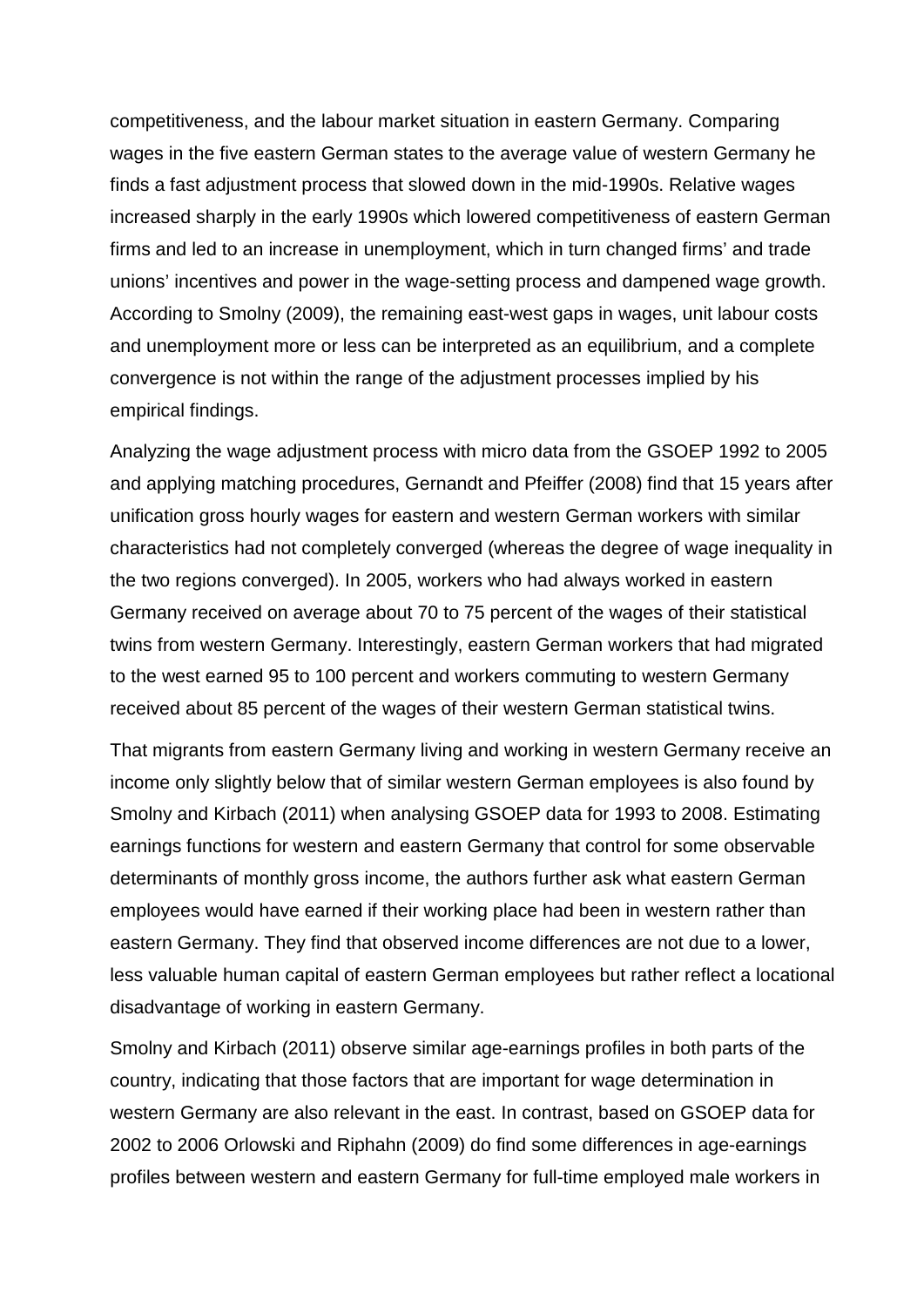competitiveness, and the labour market situation in eastern Germany. Comparing wages in the five eastern German states to the average value of western Germany he finds a fast adjustment process that slowed down in the mid-1990s. Relative wages increased sharply in the early 1990s which lowered competitiveness of eastern German firms and led to an increase in unemployment, which in turn changed firms' and trade unions' incentives and power in the wage-setting process and dampened wage growth. According to Smolny (2009), the remaining east-west gaps in wages, unit labour costs and unemployment more or less can be interpreted as an equilibrium, and a complete convergence is not within the range of the adjustment processes implied by his empirical findings.

Analyzing the wage adjustment process with micro data from the GSOEP 1992 to 2005 and applying matching procedures, Gernandt and Pfeiffer (2008) find that 15 years after unification gross hourly wages for eastern and western German workers with similar characteristics had not completely converged (whereas the degree of wage inequality in the two regions converged). In 2005, workers who had always worked in eastern Germany received on average about 70 to 75 percent of the wages of their statistical twins from western Germany. Interestingly, eastern German workers that had migrated to the west earned 95 to 100 percent and workers commuting to western Germany received about 85 percent of the wages of their western German statistical twins.

That migrants from eastern Germany living and working in western Germany receive an income only slightly below that of similar western German employees is also found by Smolny and Kirbach (2011) when analysing GSOEP data for 1993 to 2008. Estimating earnings functions for western and eastern Germany that control for some observable determinants of monthly gross income, the authors further ask what eastern German employees would have earned if their working place had been in western rather than eastern Germany. They find that observed income differences are not due to a lower, less valuable human capital of eastern German employees but rather reflect a locational disadvantage of working in eastern Germany.

Smolny and Kirbach (2011) observe similar age-earnings profiles in both parts of the country, indicating that those factors that are important for wage determination in western Germany are also relevant in the east. In contrast, based on GSOEP data for 2002 to 2006 Orlowski and Riphahn (2009) do find some differences in age-earnings profiles between western and eastern Germany for full-time employed male workers in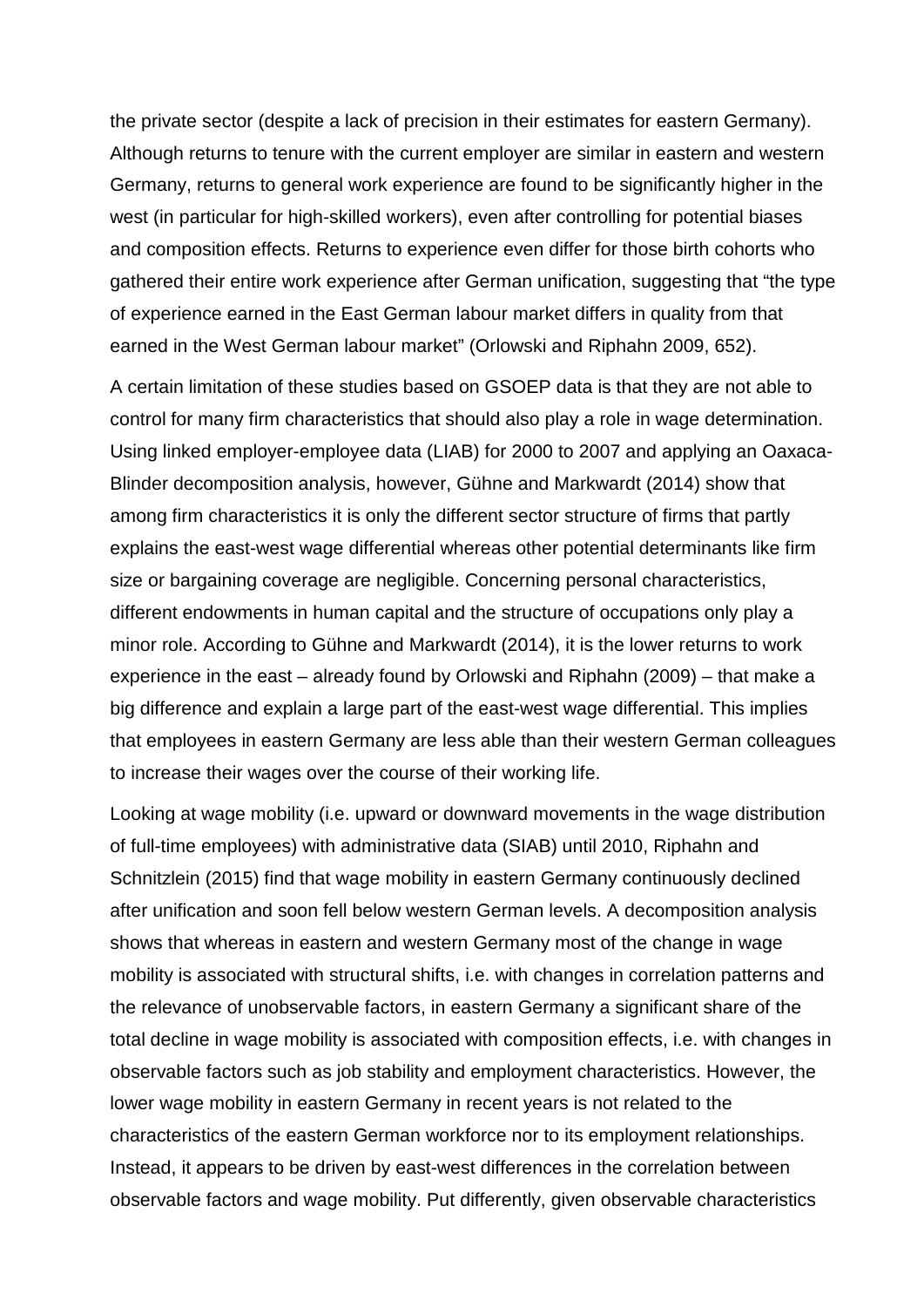the private sector (despite a lack of precision in their estimates for eastern Germany). Although returns to tenure with the current employer are similar in eastern and western Germany, returns to general work experience are found to be significantly higher in the west (in particular for high-skilled workers), even after controlling for potential biases and composition effects. Returns to experience even differ for those birth cohorts who gathered their entire work experience after German unification, suggesting that "the type of experience earned in the East German labour market differs in quality from that earned in the West German labour market" (Orlowski and Riphahn 2009, 652).

A certain limitation of these studies based on GSOEP data is that they are not able to control for many firm characteristics that should also play a role in wage determination. Using linked employer-employee data (LIAB) for 2000 to 2007 and applying an Oaxaca-Blinder decomposition analysis, however, Gühne and Markwardt (2014) show that among firm characteristics it is only the different sector structure of firms that partly explains the east-west wage differential whereas other potential determinants like firm size or bargaining coverage are negligible. Concerning personal characteristics, different endowments in human capital and the structure of occupations only play a minor role. According to Gühne and Markwardt (2014), it is the lower returns to work experience in the east – already found by Orlowski and Riphahn (2009) – that make a big difference and explain a large part of the east-west wage differential. This implies that employees in eastern Germany are less able than their western German colleagues to increase their wages over the course of their working life.

Looking at wage mobility (i.e. upward or downward movements in the wage distribution of full-time employees) with administrative data (SIAB) until 2010, Riphahn and Schnitzlein (2015) find that wage mobility in eastern Germany continuously declined after unification and soon fell below western German levels. A decomposition analysis shows that whereas in eastern and western Germany most of the change in wage mobility is associated with structural shifts, i.e. with changes in correlation patterns and the relevance of unobservable factors, in eastern Germany a significant share of the total decline in wage mobility is associated with composition effects, i.e. with changes in observable factors such as job stability and employment characteristics. However, the lower wage mobility in eastern Germany in recent years is not related to the characteristics of the eastern German workforce nor to its employment relationships. Instead, it appears to be driven by east-west differences in the correlation between observable factors and wage mobility. Put differently, given observable characteristics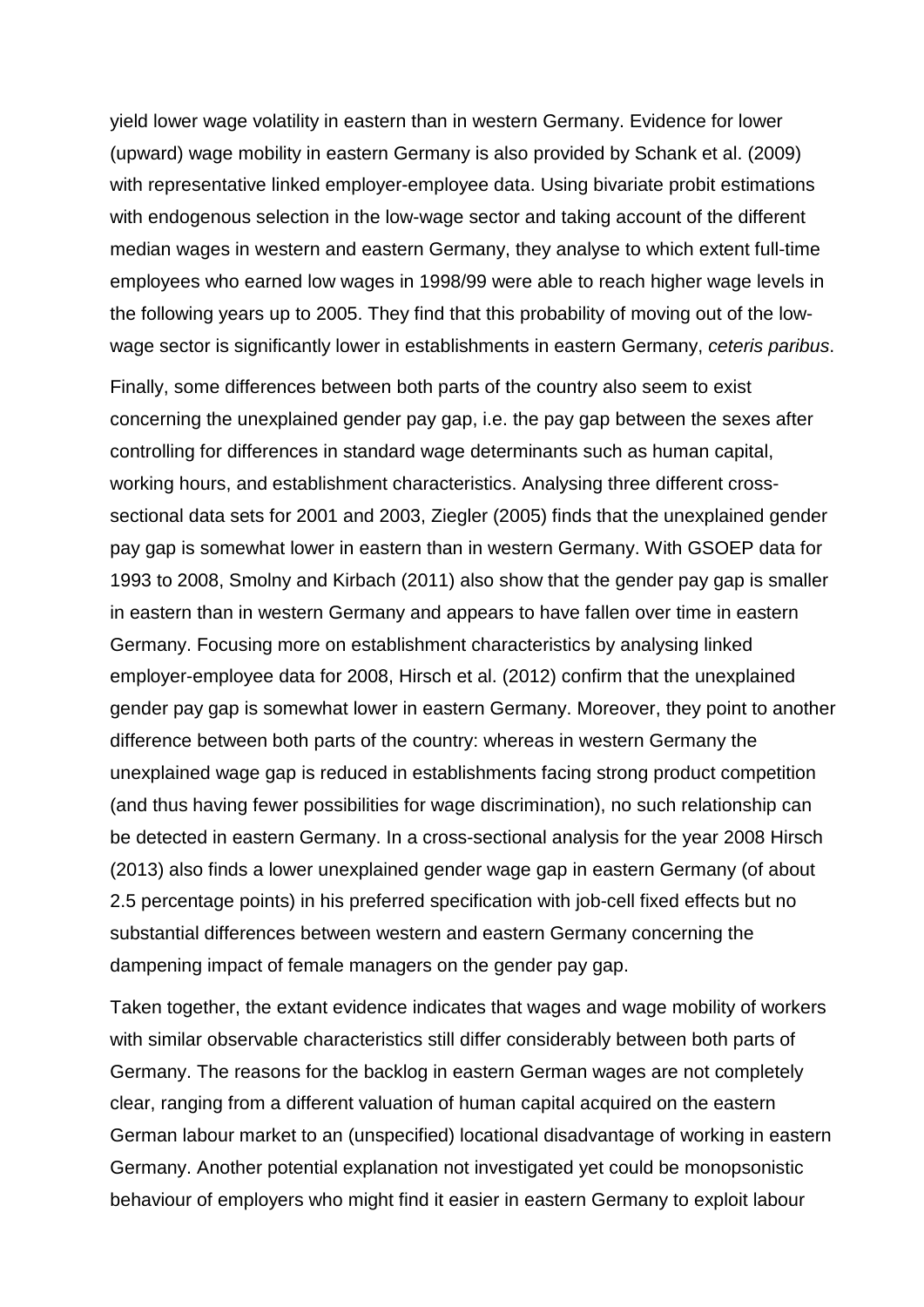yield lower wage volatility in eastern than in western Germany. Evidence for lower (upward) wage mobility in eastern Germany is also provided by Schank et al. (2009) with representative linked employer-employee data. Using bivariate probit estimations with endogenous selection in the low-wage sector and taking account of the different median wages in western and eastern Germany, they analyse to which extent full-time employees who earned low wages in 1998/99 were able to reach higher wage levels in the following years up to 2005. They find that this probability of moving out of the lowwage sector is significantly lower in establishments in eastern Germany, *ceteris paribus*.

Finally, some differences between both parts of the country also seem to exist concerning the unexplained gender pay gap, i.e. the pay gap between the sexes after controlling for differences in standard wage determinants such as human capital, working hours, and establishment characteristics. Analysing three different crosssectional data sets for 2001 and 2003, Ziegler (2005) finds that the unexplained gender pay gap is somewhat lower in eastern than in western Germany. With GSOEP data for 1993 to 2008, Smolny and Kirbach (2011) also show that the gender pay gap is smaller in eastern than in western Germany and appears to have fallen over time in eastern Germany. Focusing more on establishment characteristics by analysing linked employer-employee data for 2008, Hirsch et al. (2012) confirm that the unexplained gender pay gap is somewhat lower in eastern Germany. Moreover, they point to another difference between both parts of the country: whereas in western Germany the unexplained wage gap is reduced in establishments facing strong product competition (and thus having fewer possibilities for wage discrimination), no such relationship can be detected in eastern Germany. In a cross-sectional analysis for the year 2008 Hirsch (2013) also finds a lower unexplained gender wage gap in eastern Germany (of about 2.5 percentage points) in his preferred specification with job-cell fixed effects but no substantial differences between western and eastern Germany concerning the dampening impact of female managers on the gender pay gap.

Taken together, the extant evidence indicates that wages and wage mobility of workers with similar observable characteristics still differ considerably between both parts of Germany. The reasons for the backlog in eastern German wages are not completely clear, ranging from a different valuation of human capital acquired on the eastern German labour market to an (unspecified) locational disadvantage of working in eastern Germany. Another potential explanation not investigated yet could be monopsonistic behaviour of employers who might find it easier in eastern Germany to exploit labour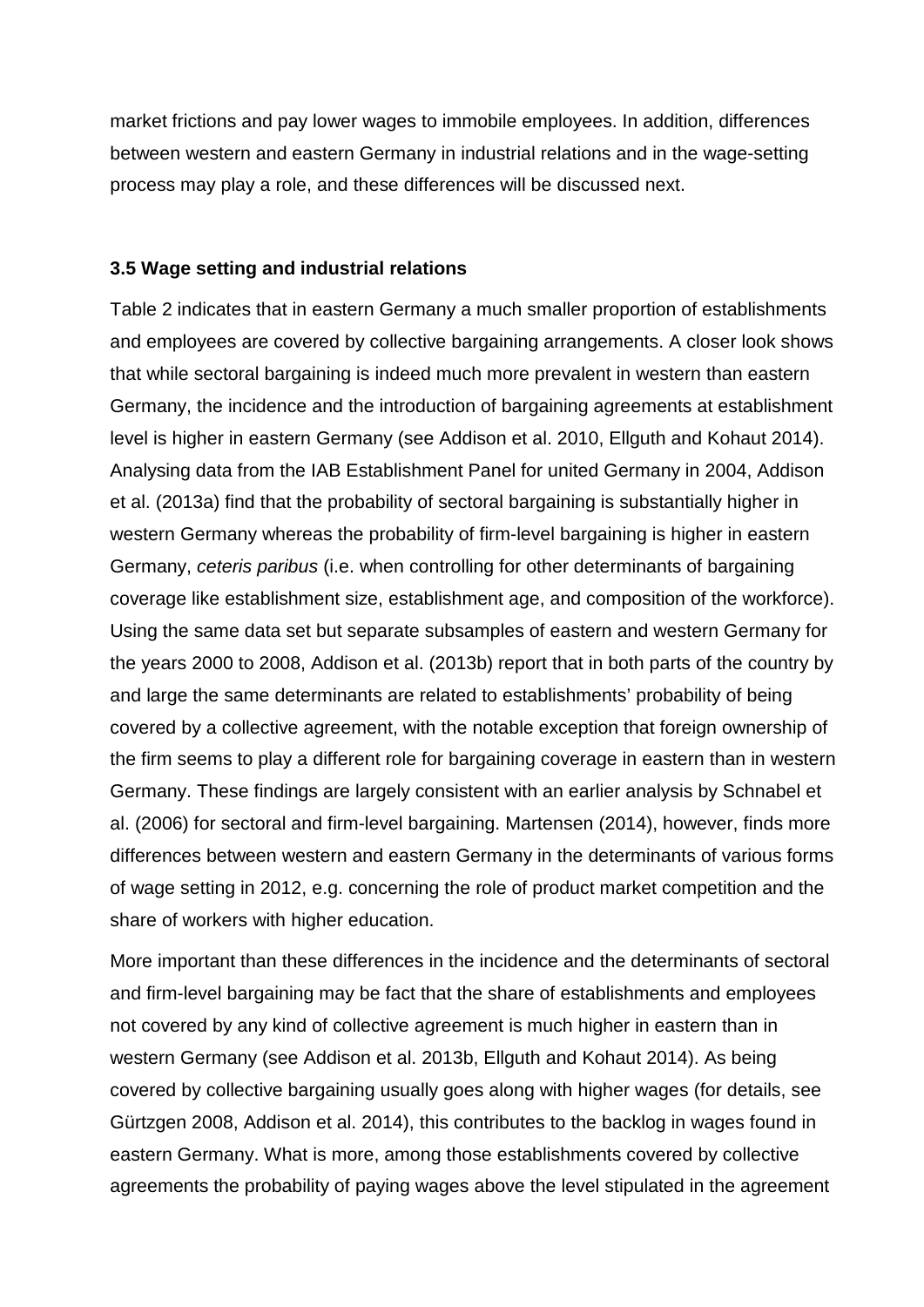market frictions and pay lower wages to immobile employees. In addition, differences between western and eastern Germany in industrial relations and in the wage-setting process may play a role, and these differences will be discussed next.

#### **3.5 Wage setting and industrial relations**

Table 2 indicates that in eastern Germany a much smaller proportion of establishments and employees are covered by collective bargaining arrangements. A closer look shows that while sectoral bargaining is indeed much more prevalent in western than eastern Germany, the incidence and the introduction of bargaining agreements at establishment level is higher in eastern Germany (see Addison et al. 2010, Ellguth and Kohaut 2014). Analysing data from the IAB Establishment Panel for united Germany in 2004, Addison et al. (2013a) find that the probability of sectoral bargaining is substantially higher in western Germany whereas the probability of firm-level bargaining is higher in eastern Germany, *ceteris paribus* (i.e. when controlling for other determinants of bargaining coverage like establishment size, establishment age, and composition of the workforce). Using the same data set but separate subsamples of eastern and western Germany for the years 2000 to 2008, Addison et al. (2013b) report that in both parts of the country by and large the same determinants are related to establishments' probability of being covered by a collective agreement, with the notable exception that foreign ownership of the firm seems to play a different role for bargaining coverage in eastern than in western Germany. These findings are largely consistent with an earlier analysis by Schnabel et al. (2006) for sectoral and firm-level bargaining. Martensen (2014), however, finds more differences between western and eastern Germany in the determinants of various forms of wage setting in 2012, e.g. concerning the role of product market competition and the share of workers with higher education.

More important than these differences in the incidence and the determinants of sectoral and firm-level bargaining may be fact that the share of establishments and employees not covered by any kind of collective agreement is much higher in eastern than in western Germany (see Addison et al. 2013b, Ellguth and Kohaut 2014). As being covered by collective bargaining usually goes along with higher wages (for details, see Gürtzgen 2008, Addison et al. 2014), this contributes to the backlog in wages found in eastern Germany. What is more, among those establishments covered by collective agreements the probability of paying wages above the level stipulated in the agreement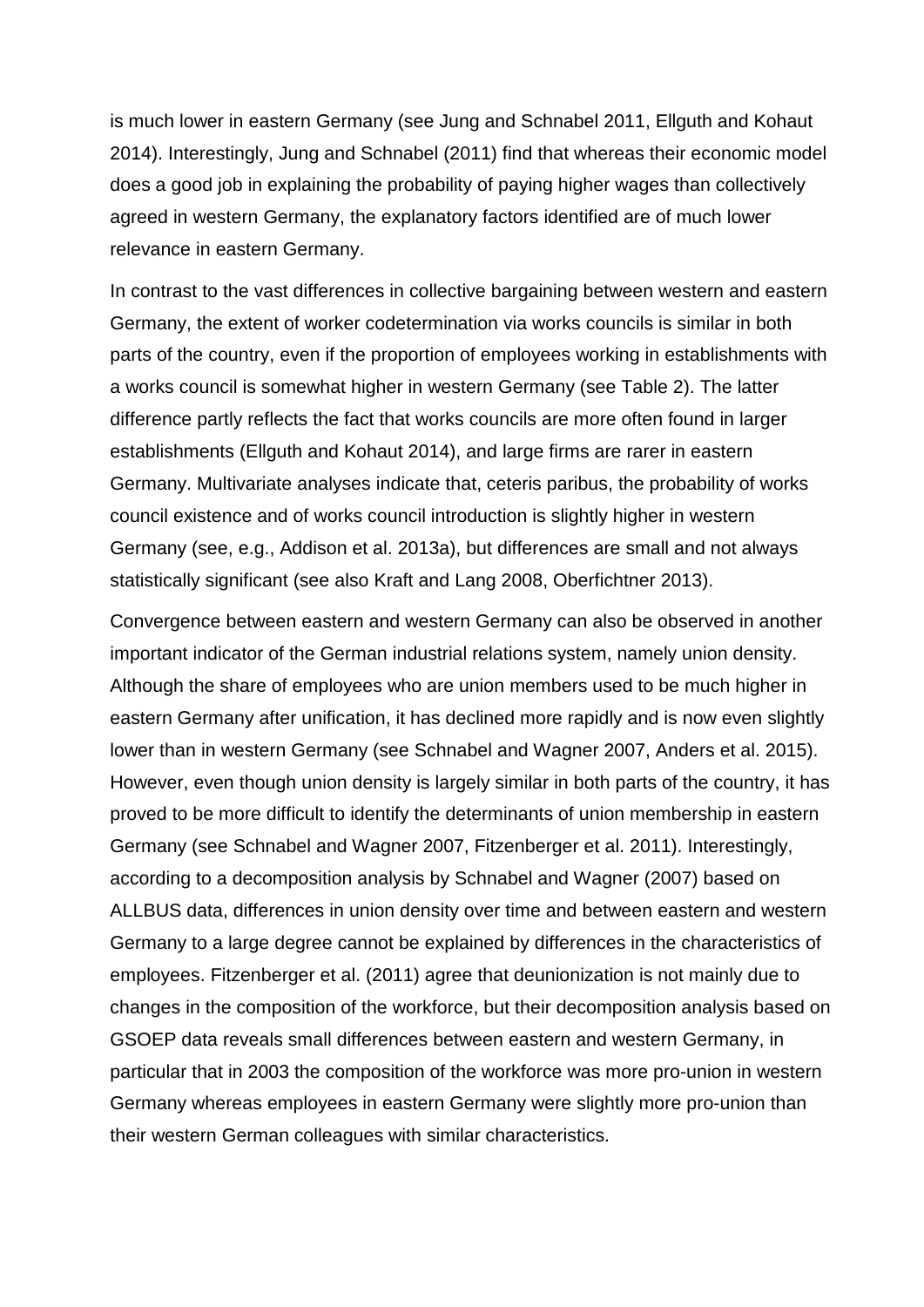is much lower in eastern Germany (see Jung and Schnabel 2011, Ellguth and Kohaut 2014). Interestingly, Jung and Schnabel (2011) find that whereas their economic model does a good job in explaining the probability of paying higher wages than collectively agreed in western Germany, the explanatory factors identified are of much lower relevance in eastern Germany.

In contrast to the vast differences in collective bargaining between western and eastern Germany, the extent of worker codetermination via works councils is similar in both parts of the country, even if the proportion of employees working in establishments with a works council is somewhat higher in western Germany (see Table 2). The latter difference partly reflects the fact that works councils are more often found in larger establishments (Ellguth and Kohaut 2014), and large firms are rarer in eastern Germany. Multivariate analyses indicate that, ceteris paribus, the probability of works council existence and of works council introduction is slightly higher in western Germany (see, e.g., Addison et al. 2013a), but differences are small and not always statistically significant (see also Kraft and Lang 2008, Oberfichtner 2013).

Convergence between eastern and western Germany can also be observed in another important indicator of the German industrial relations system, namely union density. Although the share of employees who are union members used to be much higher in eastern Germany after unification, it has declined more rapidly and is now even slightly lower than in western Germany (see Schnabel and Wagner 2007, Anders et al. 2015). However, even though union density is largely similar in both parts of the country, it has proved to be more difficult to identify the determinants of union membership in eastern Germany (see Schnabel and Wagner 2007, Fitzenberger et al. 2011). Interestingly, according to a decomposition analysis by Schnabel and Wagner (2007) based on ALLBUS data, differences in union density over time and between eastern and western Germany to a large degree cannot be explained by differences in the characteristics of employees. Fitzenberger et al. (2011) agree that deunionization is not mainly due to changes in the composition of the workforce, but their decomposition analysis based on GSOEP data reveals small differences between eastern and western Germany, in particular that in 2003 the composition of the workforce was more pro-union in western Germany whereas employees in eastern Germany were slightly more pro-union than their western German colleagues with similar characteristics.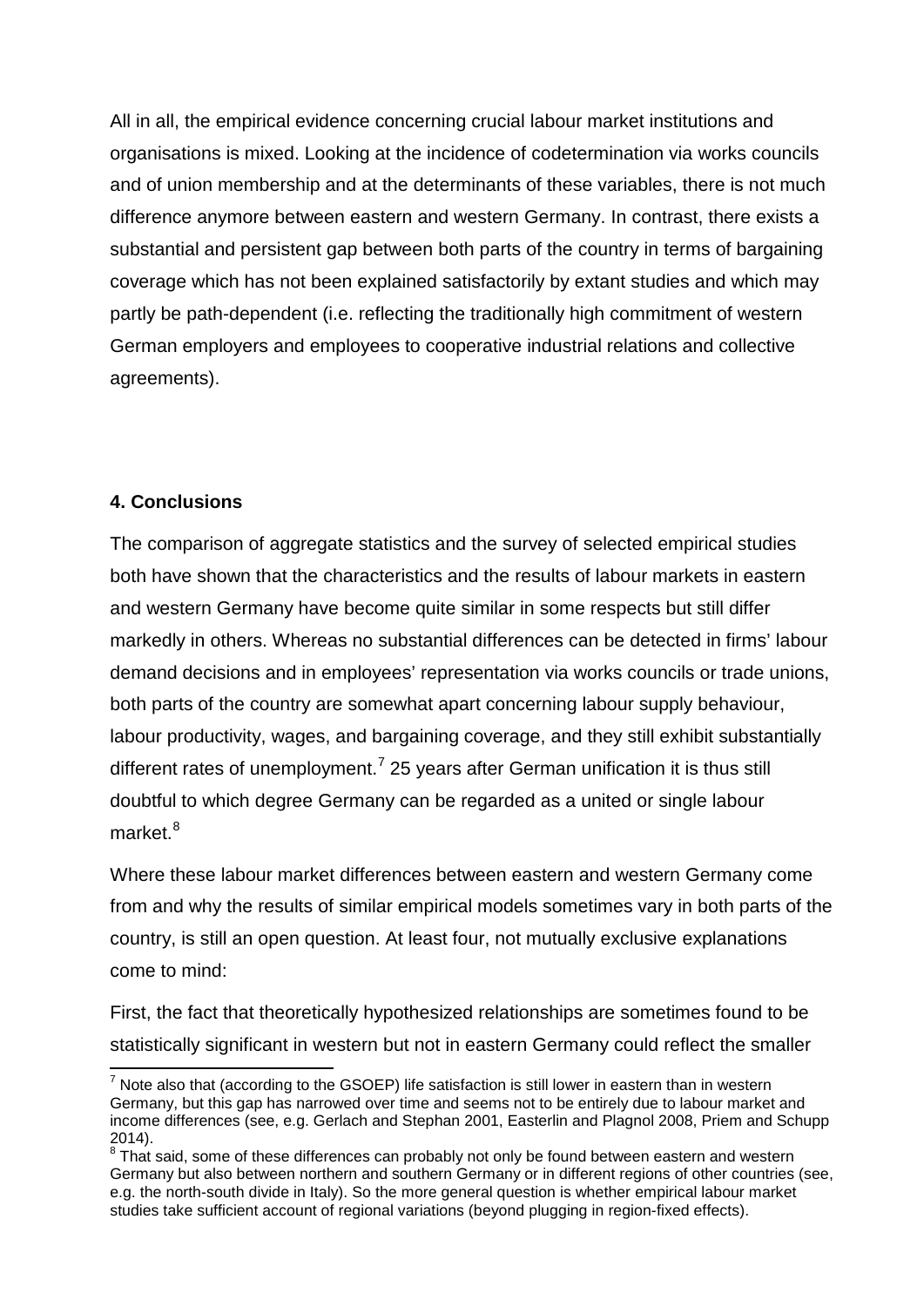All in all, the empirical evidence concerning crucial labour market institutions and organisations is mixed. Looking at the incidence of codetermination via works councils and of union membership and at the determinants of these variables, there is not much difference anymore between eastern and western Germany. In contrast, there exists a substantial and persistent gap between both parts of the country in terms of bargaining coverage which has not been explained satisfactorily by extant studies and which may partly be path-dependent (i.e. reflecting the traditionally high commitment of western German employers and employees to cooperative industrial relations and collective agreements).

# **4. Conclusions**

The comparison of aggregate statistics and the survey of selected empirical studies both have shown that the characteristics and the results of labour markets in eastern and western Germany have become quite similar in some respects but still differ markedly in others. Whereas no substantial differences can be detected in firms' labour demand decisions and in employees' representation via works councils or trade unions, both parts of the country are somewhat apart concerning labour supply behaviour, labour productivity, wages, and bargaining coverage, and they still exhibit substantially different rates of unemployment.<sup>[7](#page-9-0)</sup> 25 years after German unification it is thus still doubtful to which degree Germany can be regarded as a united or single labour market.<sup>[8](#page-17-0)</sup>

Where these labour market differences between eastern and western Germany come from and why the results of similar empirical models sometimes vary in both parts of the country, is still an open question. At least four, not mutually exclusive explanations come to mind:

First, the fact that theoretically hypothesized relationships are sometimes found to be statistically significant in western but not in eastern Germany could reflect the smaller

<span id="page-17-1"></span> $7$  Note also that (according to the GSOEP) life satisfaction is still lower in eastern than in western Germany, but this gap has narrowed over time and seems not to be entirely due to labour market and income differences (see, e.g. Gerlach and Stephan 2001, Easterlin and Plagnol 2008, Priem and Schupp 2014).

<span id="page-17-0"></span> $8$  That said, some of these differences can probably not only be found between eastern and western Germany but also between northern and southern Germany or in different regions of other countries (see, e.g. the north-south divide in Italy). So the more general question is whether empirical labour market studies take sufficient account of regional variations (beyond plugging in region-fixed effects).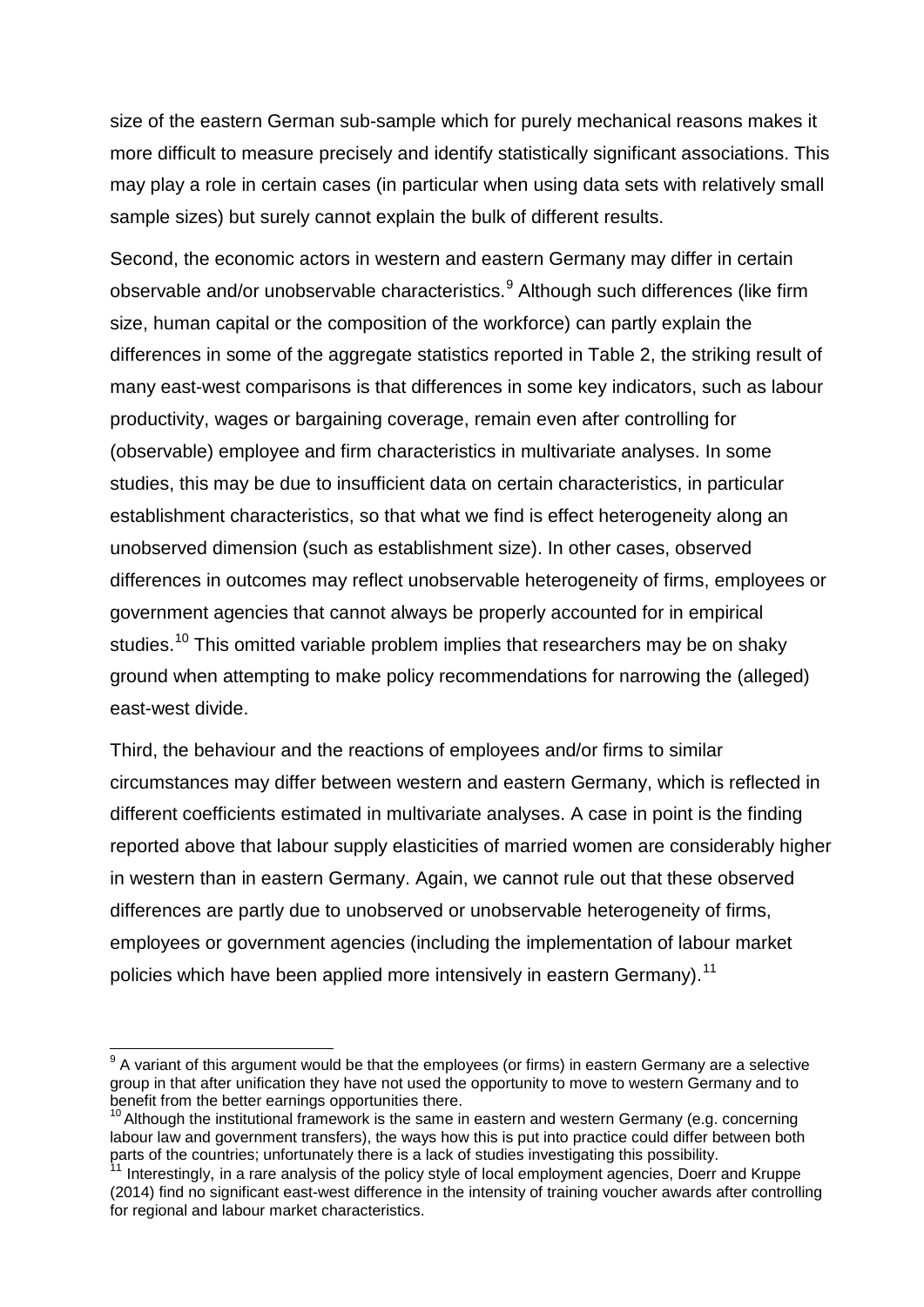size of the eastern German sub-sample which for purely mechanical reasons makes it more difficult to measure precisely and identify statistically significant associations. This may play a role in certain cases (in particular when using data sets with relatively small sample sizes) but surely cannot explain the bulk of different results.

Second, the economic actors in western and eastern Germany may differ in certain observable and/or unobservable characteristics.<sup>[9](#page-17-1)</sup> Although such differences (like firm size, human capital or the composition of the workforce) can partly explain the differences in some of the aggregate statistics reported in Table 2, the striking result of many east-west comparisons is that differences in some key indicators, such as labour productivity, wages or bargaining coverage, remain even after controlling for (observable) employee and firm characteristics in multivariate analyses. In some studies, this may be due to insufficient data on certain characteristics, in particular establishment characteristics, so that what we find is effect heterogeneity along an unobserved dimension (such as establishment size). In other cases, observed differences in outcomes may reflect unobservable heterogeneity of firms, employees or government agencies that cannot always be properly accounted for in empirical studies.<sup>[10](#page-18-0)</sup> This omitted variable problem implies that researchers may be on shaky ground when attempting to make policy recommendations for narrowing the (alleged) east-west divide.

Third, the behaviour and the reactions of employees and/or firms to similar circumstances may differ between western and eastern Germany, which is reflected in different coefficients estimated in multivariate analyses. A case in point is the finding reported above that labour supply elasticities of married women are considerably higher in western than in eastern Germany. Again, we cannot rule out that these observed differences are partly due to unobserved or unobservable heterogeneity of firms, employees or government agencies (including the implementation of labour market policies which have been applied more intensively in eastern Germany).<sup>[11](#page-18-1)</sup>

<span id="page-18-2"></span> $9$  A variant of this argument would be that the employees (or firms) in eastern Germany are a selective group in that after unification they have not used the opportunity to move to western Germany and to benefit from the better earnings opportunities there.

<span id="page-18-0"></span> $10$  Although the institutional framework is the same in eastern and western Germany (e.g. concerning labour law and government transfers), the ways how this is put into practice could differ between both parts of the countries; unfortunately there is a lack of studies investigating this possibility.

<span id="page-18-1"></span><sup>&</sup>lt;sup>11</sup> Interestingly, in a rare analysis of the policy style of local employment agencies, Doerr and Kruppe (2014) find no significant east-west difference in the intensity of training voucher awards after controlling for regional and labour market characteristics.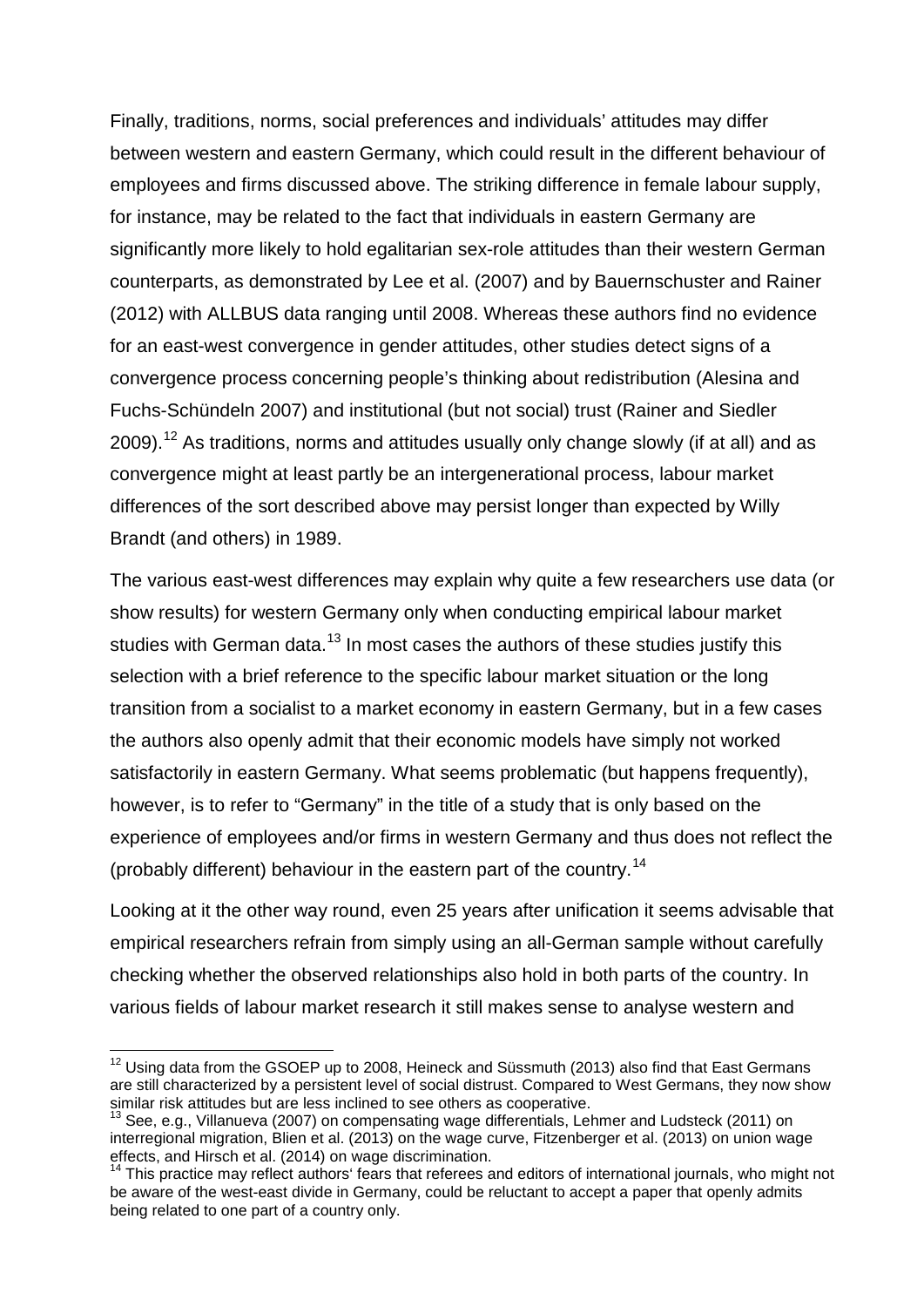Finally, traditions, norms, social preferences and individuals' attitudes may differ between western and eastern Germany, which could result in the different behaviour of employees and firms discussed above. The striking difference in female labour supply, for instance, may be related to the fact that individuals in eastern Germany are significantly more likely to hold egalitarian sex-role attitudes than their western German counterparts, as demonstrated by Lee et al. (2007) and by Bauernschuster and Rainer (2012) with ALLBUS data ranging until 2008. Whereas these authors find no evidence for an east-west convergence in gender attitudes, other studies detect signs of a convergence process concerning people's thinking about redistribution (Alesina and Fuchs-Schündeln 2007) and institutional (but not social) trust (Rainer and Siedler  $2009$ ).<sup>[12](#page-18-2)</sup> As traditions, norms and attitudes usually only change slowly (if at all) and as convergence might at least partly be an intergenerational process, labour market differences of the sort described above may persist longer than expected by Willy Brandt (and others) in 1989.

The various east-west differences may explain why quite a few researchers use data (or show results) for western Germany only when conducting empirical labour market studies with German data.<sup>[13](#page-19-0)</sup> In most cases the authors of these studies justify this selection with a brief reference to the specific labour market situation or the long transition from a socialist to a market economy in eastern Germany, but in a few cases the authors also openly admit that their economic models have simply not worked satisfactorily in eastern Germany. What seems problematic (but happens frequently), however, is to refer to "Germany" in the title of a study that is only based on the experience of employees and/or firms in western Germany and thus does not reflect the (probably different) behaviour in the eastern part of the country.<sup>[14](#page-19-1)</sup>

Looking at it the other way round, even 25 years after unification it seems advisable that empirical researchers refrain from simply using an all-German sample without carefully checking whether the observed relationships also hold in both parts of the country. In various fields of labour market research it still makes sense to analyse western and

<sup>&</sup>lt;sup>12</sup> Using data from the GSOEP up to 2008, Heineck and Süssmuth (2013) also find that East Germans are still characterized by a persistent level of social distrust. Compared to West Germans, they now show<br>similar risk attitudes but are less inclined to see others as cooperative.

<span id="page-19-0"></span>similar risk attitudes but are rise include to see others and to see others and to see other and Ludsteck (2011) on interregional migration, Blien et al. (2013) on the wage curve, Fitzenberger et al. (2013) on union wage effects, and Hirsch et al. (2014) on wage discrimination.

<span id="page-19-1"></span> $^{14}$  This practice may reflect authors' fears that referees and editors of international journals, who might not be aware of the west-east divide in Germany, could be reluctant to accept a paper that openly admits being related to one part of a country only.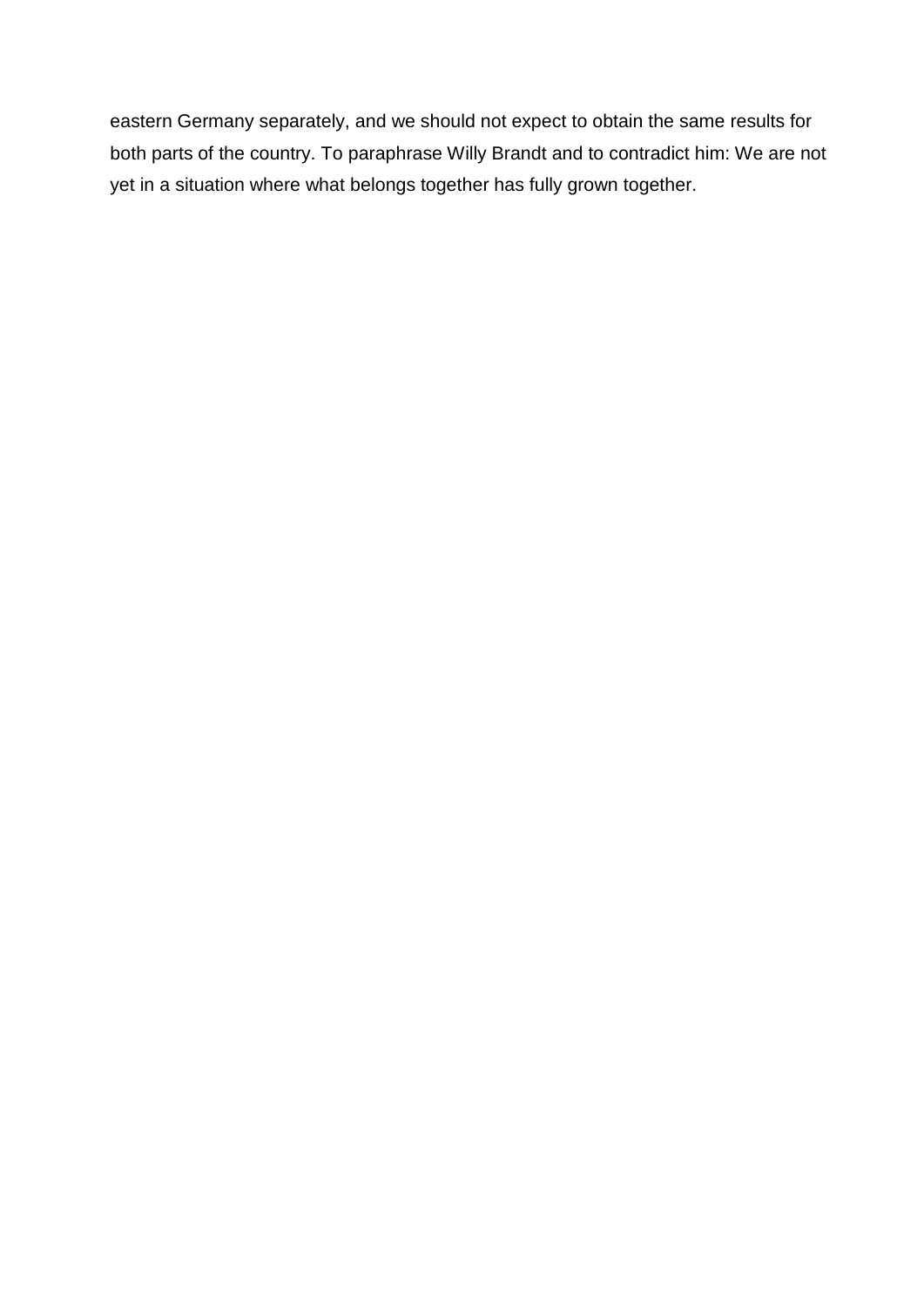eastern Germany separately, and we should not expect to obtain the same results for both parts of the country. To paraphrase Willy Brandt and to contradict him: We are not yet in a situation where what belongs together has fully grown together.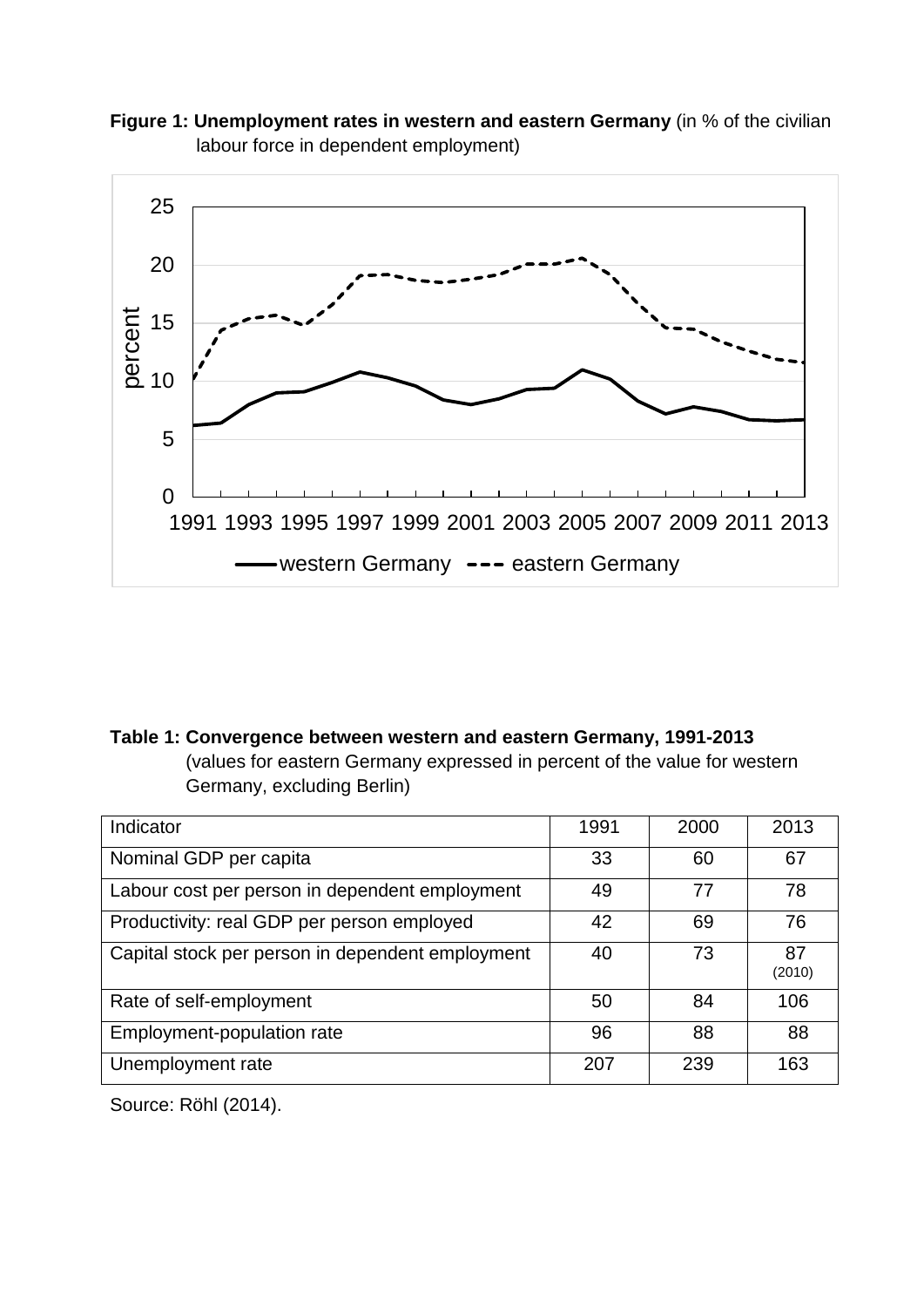



# **Table 1: Convergence between western and eastern Germany, 1991-2013**

 (values for eastern Germany expressed in percent of the value for western Germany, excluding Berlin)

| Indicator                                        | 1991 | 2000 | 2013         |
|--------------------------------------------------|------|------|--------------|
| Nominal GDP per capita                           | 33   | 60   | 67           |
| Labour cost per person in dependent employment   | 49   | 77   | 78           |
| Productivity: real GDP per person employed       | 42   | 69   | 76           |
| Capital stock per person in dependent employment | 40   | 73   | 87<br>(2010) |
| Rate of self-employment                          | 50   | 84   | 106          |
| Employment-population rate                       | 96   | 88   | 88           |
| Unemployment rate                                | 207  | 239  | 163          |

Source: Röhl (2014).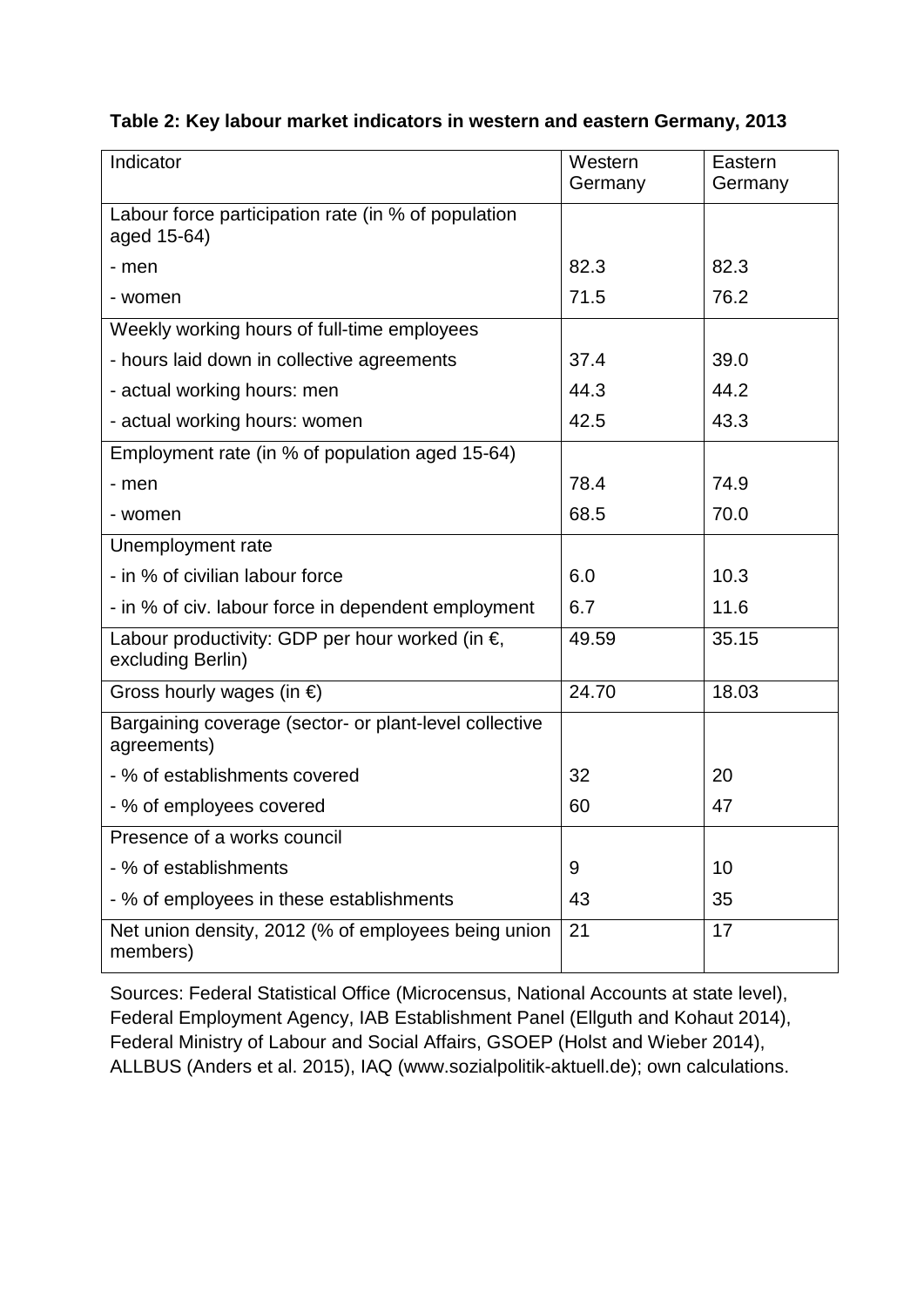|  |  | Table 2: Key labour market indicators in western and eastern Germany, 2013 |  |  |
|--|--|----------------------------------------------------------------------------|--|--|
|--|--|----------------------------------------------------------------------------|--|--|

| Indicator                                                                      | Western | Eastern |
|--------------------------------------------------------------------------------|---------|---------|
|                                                                                | Germany | Germany |
| Labour force participation rate (in % of population<br>aged 15-64)             |         |         |
| - men                                                                          | 82.3    | 82.3    |
| - women                                                                        | 71.5    | 76.2    |
| Weekly working hours of full-time employees                                    |         |         |
| - hours laid down in collective agreements                                     | 37.4    | 39.0    |
| - actual working hours: men                                                    | 44.3    | 44.2    |
| - actual working hours: women                                                  | 42.5    | 43.3    |
| Employment rate (in % of population aged 15-64)                                |         |         |
| - men                                                                          | 78.4    | 74.9    |
| - women                                                                        | 68.5    | 70.0    |
| Unemployment rate                                                              |         |         |
| - in % of civilian labour force                                                | 6.0     | 10.3    |
| - in % of civ. labour force in dependent employment                            | 6.7     | 11.6    |
| Labour productivity: GDP per hour worked (in $\epsilon$ ,<br>excluding Berlin) | 49.59   | 35.15   |
| Gross hourly wages (in $\epsilon$ )                                            | 24.70   | 18.03   |
| Bargaining coverage (sector- or plant-level collective<br>agreements)          |         |         |
| - % of establishments covered                                                  | 32      | 20      |
| - % of employees covered                                                       | 60      | 47      |
| Presence of a works council                                                    |         |         |
| - % of establishments                                                          | 9       | 10      |
| - % of employees in these establishments                                       | 43      | 35      |
| Net union density, 2012 (% of employees being union<br>members)                | 21      | 17      |

Sources: Federal Statistical Office (Microcensus, National Accounts at state level), Federal Employment Agency, IAB Establishment Panel (Ellguth and Kohaut 2014), Federal Ministry of Labour and Social Affairs, GSOEP (Holst and Wieber 2014), ALLBUS (Anders et al. 2015), IAQ (www.sozialpolitik-aktuell.de); own calculations.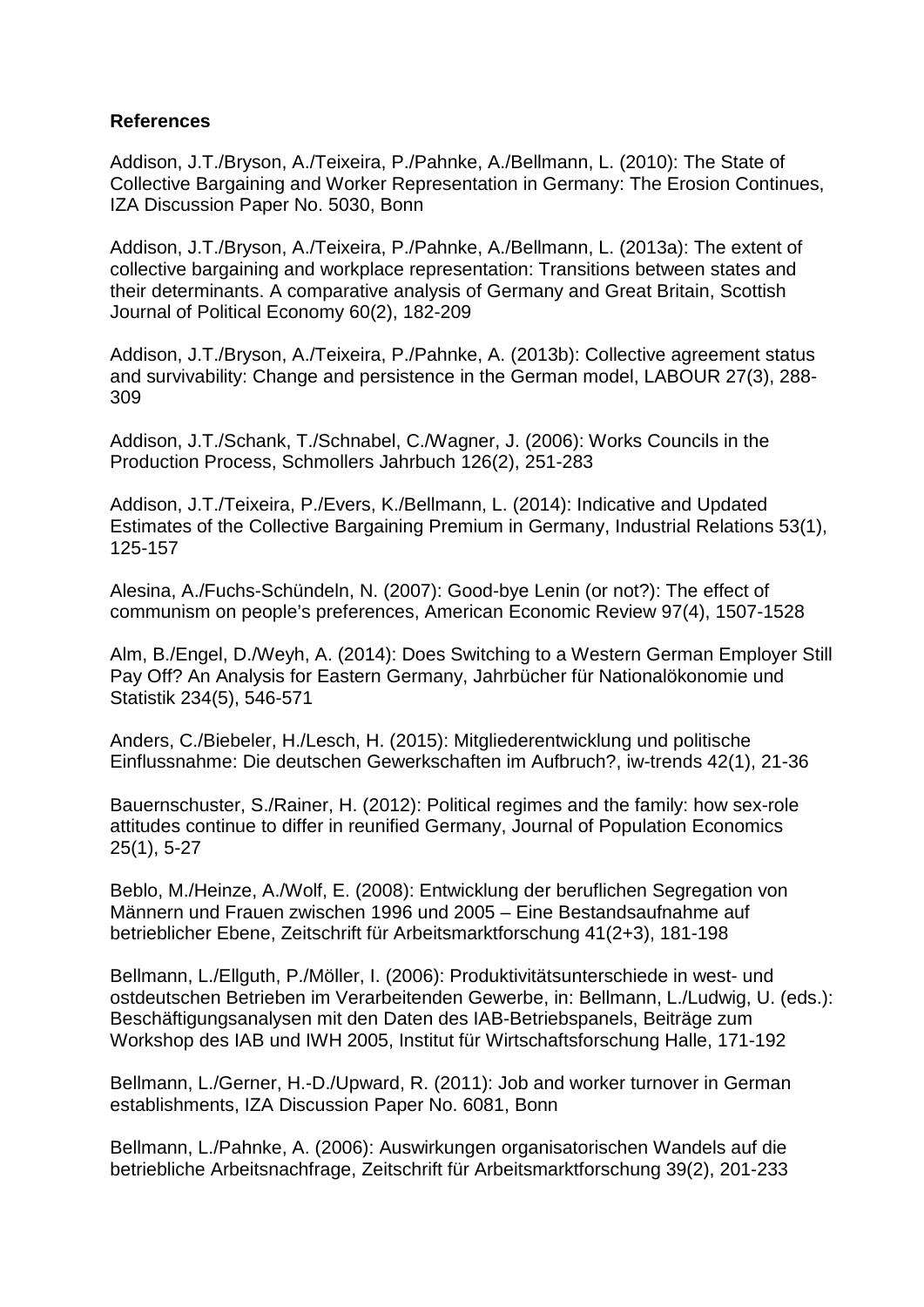# **References**

Addison, J.T./Bryson, A./Teixeira, P./Pahnke, A./Bellmann, L. (2010): The State of Collective Bargaining and Worker Representation in Germany: The Erosion Continues, IZA Discussion Paper No. 5030, Bonn

Addison, J.T./Bryson, A./Teixeira, P./Pahnke, A./Bellmann, L. (2013a): The extent of collective bargaining and workplace representation: Transitions between states and their determinants. A comparative analysis of Germany and Great Britain, Scottish Journal of Political Economy 60(2), 182-209

Addison, J.T./Bryson, A./Teixeira, P./Pahnke, A. (2013b): Collective agreement status and survivability: Change and persistence in the German model, LABOUR 27(3), 288- 309

Addison, J.T./Schank, T./Schnabel, C./Wagner, J. (2006): Works Councils in the Production Process, Schmollers Jahrbuch 126(2), 251-283

Addison, J.T./Teixeira, P./Evers, K./Bellmann, L. (2014): Indicative and Updated Estimates of the Collective Bargaining Premium in Germany, Industrial Relations 53(1), 125-157

Alesina, A./Fuchs-Schündeln, N. (2007): Good-bye Lenin (or not?): The effect of communism on people's preferences, American Economic Review 97(4), 1507-1528

Alm, B./Engel, D./Weyh, A. (2014): Does Switching to a Western German Employer Still Pay Off? An Analysis for Eastern Germany, Jahrbücher für Nationalökonomie und Statistik 234(5), 546-571

Anders, C./Biebeler, H./Lesch, H. (2015): Mitgliederentwicklung und politische Einflussnahme: Die deutschen Gewerkschaften im Aufbruch?, iw-trends 42(1), 21-36

Bauernschuster, S./Rainer, H. (2012): Political regimes and the family: how sex-role attitudes continue to differ in reunified Germany, Journal of Population Economics 25(1), 5-27

Beblo, M./Heinze, A./Wolf, E. (2008): Entwicklung der beruflichen Segregation von Männern und Frauen zwischen 1996 und 2005 – Eine Bestandsaufnahme auf betrieblicher Ebene, Zeitschrift für Arbeitsmarktforschung 41(2+3), 181-198

Bellmann, L./Ellguth, P./Möller, I. (2006): Produktivitätsunterschiede in west- und ostdeutschen Betrieben im Verarbeitenden Gewerbe, in: Bellmann, L./Ludwig, U. (eds.): Beschäftigungsanalysen mit den Daten des IAB-Betriebspanels, Beiträge zum Workshop des IAB und IWH 2005, Institut für Wirtschaftsforschung Halle, 171-192

Bellmann, L./Gerner, H.-D./Upward, R. (2011): Job and worker turnover in German establishments, IZA Discussion Paper No. 6081, Bonn

Bellmann, L./Pahnke, A. (2006): Auswirkungen organisatorischen Wandels auf die betriebliche Arbeitsnachfrage, Zeitschrift für Arbeitsmarktforschung 39(2), 201-233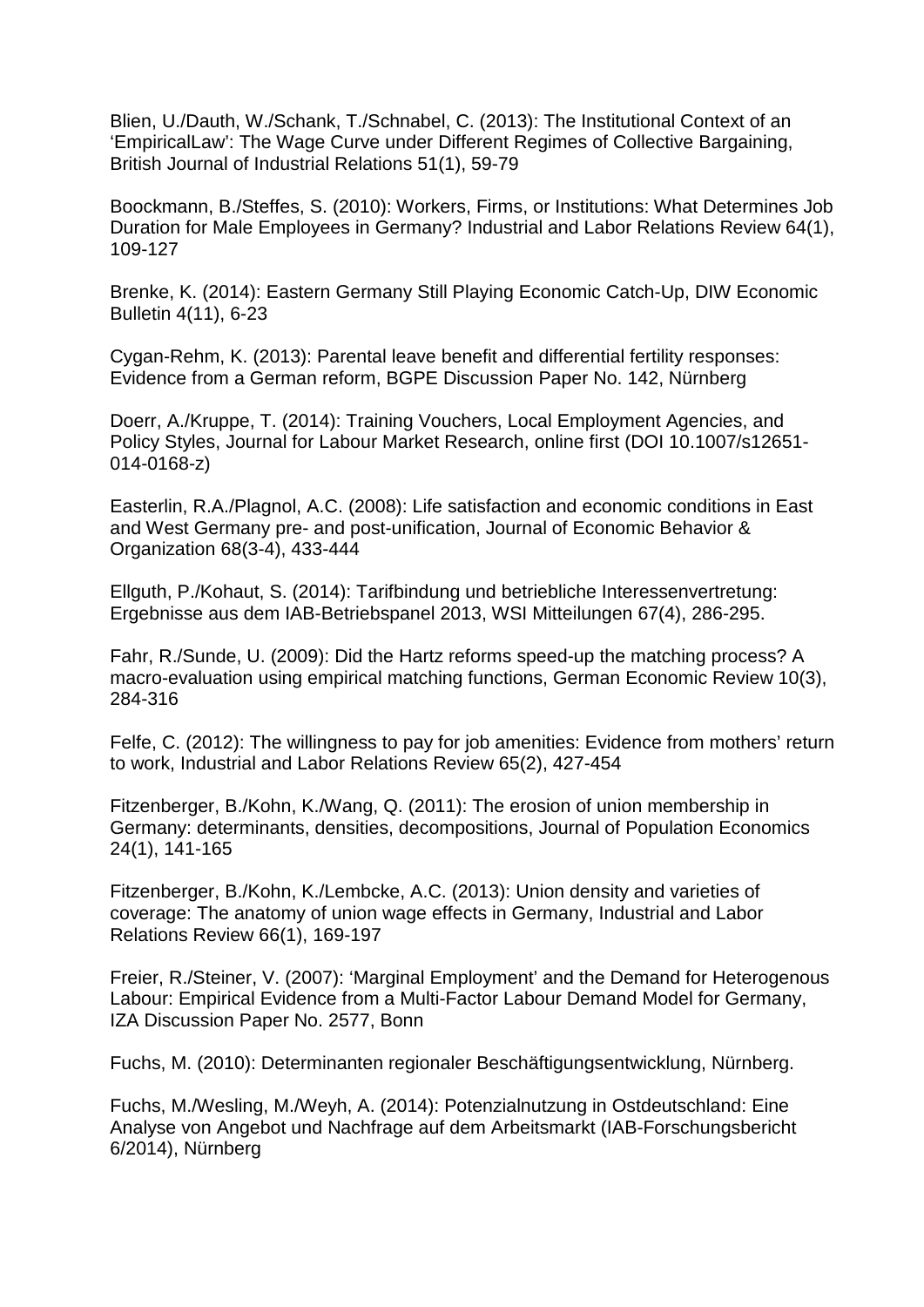Blien, U./Dauth, W./Schank, T./Schnabel, C. (2013): The Institutional Context of an 'EmpiricalLaw': The Wage Curve under Different Regimes of Collective Bargaining, British Journal of Industrial Relations 51(1), 59-79

Boockmann, B./Steffes, S. (2010): Workers, Firms, or Institutions: What Determines Job Duration for Male Employees in Germany? Industrial and Labor Relations Review 64(1), 109-127

Brenke, K. (2014): Eastern Germany Still Playing Economic Catch-Up, DIW Economic Bulletin 4(11), 6-23

Cygan-Rehm, K. (2013): Parental leave benefit and differential fertility responses: Evidence from a German reform, BGPE Discussion Paper No. 142, Nürnberg

Doerr, A./Kruppe, T. (2014): Training Vouchers, Local Employment Agencies, and Policy Styles, Journal for Labour Market Research, online first (DOI 10.1007/s12651- 014-0168-z)

Easterlin, R.A./Plagnol, A.C. (2008): Life satisfaction and economic conditions in East and West Germany pre- and post-unification, Journal of Economic Behavior & Organization 68(3-4), 433-444

Ellguth, P./Kohaut, S. (2014): Tarifbindung und betriebliche Interessenvertretung: Ergebnisse aus dem IAB-Betriebspanel 2013, WSI Mitteilungen 67(4), 286-295.

Fahr, R./Sunde, U. (2009): Did the Hartz reforms speed-up the matching process? A macro-evaluation using empirical matching functions, German Economic Review 10(3), 284-316

Felfe, C. (2012): The willingness to pay for job amenities: Evidence from mothers' return to work, Industrial and Labor Relations Review 65(2), 427-454

Fitzenberger, B./Kohn, K./Wang, Q. (2011): The erosion of union membership in Germany: determinants, densities, decompositions, Journal of Population Economics 24(1), 141-165

Fitzenberger, B./Kohn, K./Lembcke, A.C. (2013): Union density and varieties of coverage: The anatomy of union wage effects in Germany, Industrial and Labor Relations Review 66(1), 169-197

Freier, R./Steiner, V. (2007): 'Marginal Employment' and the Demand for Heterogenous Labour: Empirical Evidence from a Multi-Factor Labour Demand Model for Germany, IZA Discussion Paper No. 2577, Bonn

Fuchs, M. (2010): Determinanten regionaler Beschäftigungsentwicklung, Nürnberg.

Fuchs, M./Wesling, M./Weyh, A. (2014): Potenzialnutzung in Ostdeutschland: Eine Analyse von Angebot und Nachfrage auf dem Arbeitsmarkt (IAB-Forschungsbericht 6/2014), Nürnberg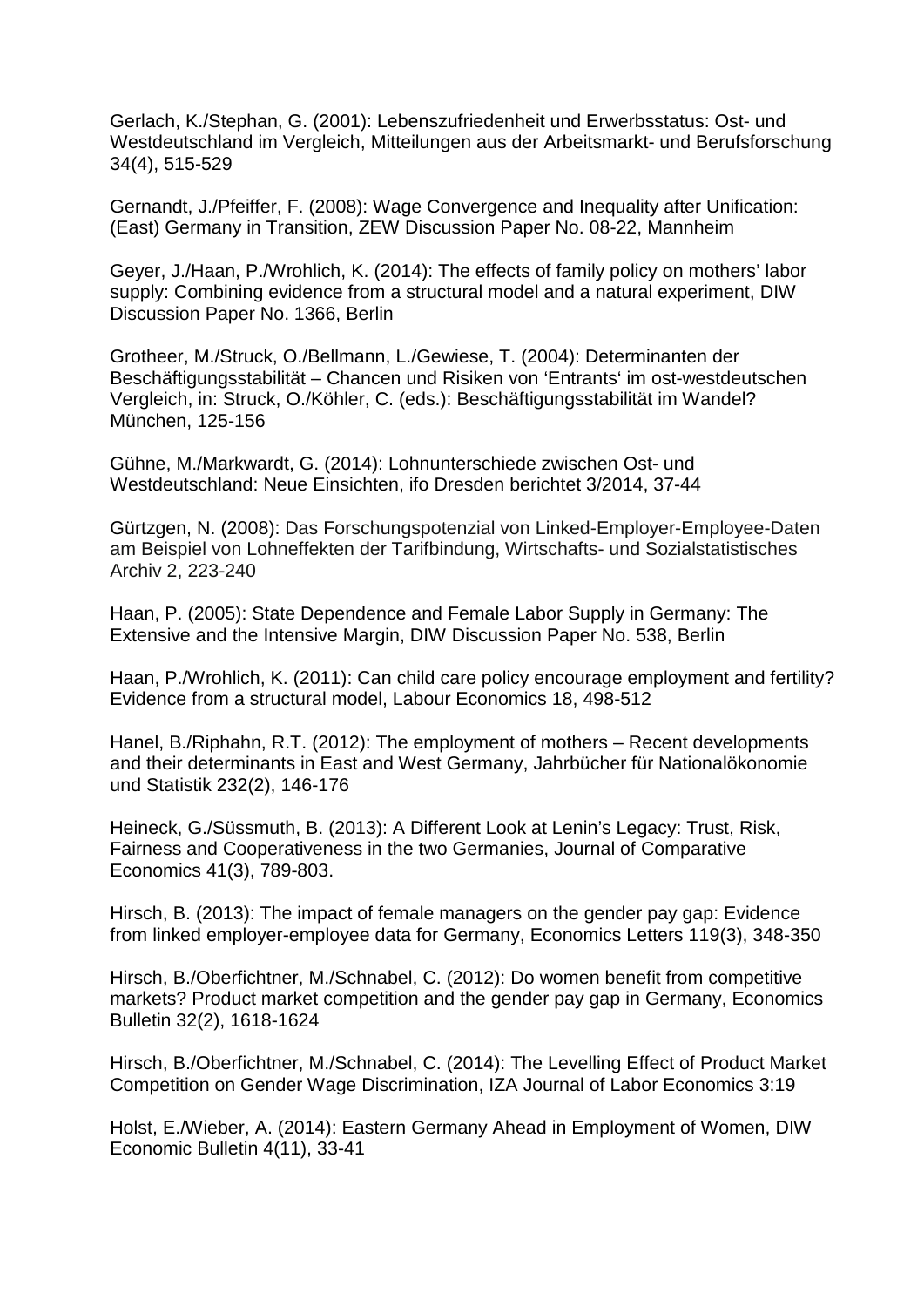Gerlach, K./Stephan, G. (2001): Lebenszufriedenheit und Erwerbsstatus: Ost- und Westdeutschland im Vergleich, Mitteilungen aus der Arbeitsmarkt- und Berufsforschung 34(4), 515-529

Gernandt, J./Pfeiffer, F. (2008): Wage Convergence and Inequality after Unification: (East) Germany in Transition, ZEW Discussion Paper No. 08-22, Mannheim

Geyer, J./Haan, P./Wrohlich, K. (2014): The effects of family policy on mothers' labor supply: Combining evidence from a structural model and a natural experiment, DIW Discussion Paper No. 1366, Berlin

Grotheer, M./Struck, O./Bellmann, L./Gewiese, T. (2004): Determinanten der Beschäftigungsstabilität – Chancen und Risiken von 'Entrants' im ost-westdeutschen Vergleich, in: Struck, O./Köhler, C. (eds.): Beschäftigungsstabilität im Wandel? München, 125-156

Gühne, M./Markwardt, G. (2014): Lohnunterschiede zwischen Ost- und Westdeutschland: Neue Einsichten, ifo Dresden berichtet 3/2014, 37-44

Gürtzgen, N. (2008): Das Forschungspotenzial von Linked-Employer-Employee-Daten am Beispiel von Lohneffekten der Tarifbindung, Wirtschafts- und Sozialstatistisches Archiv 2, 223-240

Haan, P. (2005): State Dependence and Female Labor Supply in Germany: The Extensive and the Intensive Margin, DIW Discussion Paper No. 538, Berlin

Haan, P./Wrohlich, K. (2011): Can child care policy encourage employment and fertility? Evidence from a structural model, Labour Economics 18, 498-512

Hanel, B./Riphahn, R.T. (2012): The employment of mothers – Recent developments and their determinants in East and West Germany, Jahrbücher für Nationalökonomie und Statistik 232(2), 146-176

Heineck, G./Süssmuth, B. (2013): A Different Look at Lenin's Legacy: Trust, Risk, Fairness and Cooperativeness in the two Germanies, Journal of Comparative Economics 41(3), 789-803.

Hirsch, B. (2013): The impact of female managers on the gender pay gap: Evidence from linked employer-employee data for Germany, Economics Letters 119(3), 348-350

Hirsch, B./Oberfichtner, M./Schnabel, C. (2012): Do women benefit from competitive markets? Product market competition and the gender pay gap in Germany, Economics Bulletin 32(2), 1618-1624

Hirsch, B./Oberfichtner, M./Schnabel, C. (2014): The Levelling Effect of Product Market Competition on Gender Wage Discrimination, IZA Journal of Labor Economics 3:19

Holst, E./Wieber, A. (2014): Eastern Germany Ahead in Employment of Women, DIW Economic Bulletin 4(11), 33-41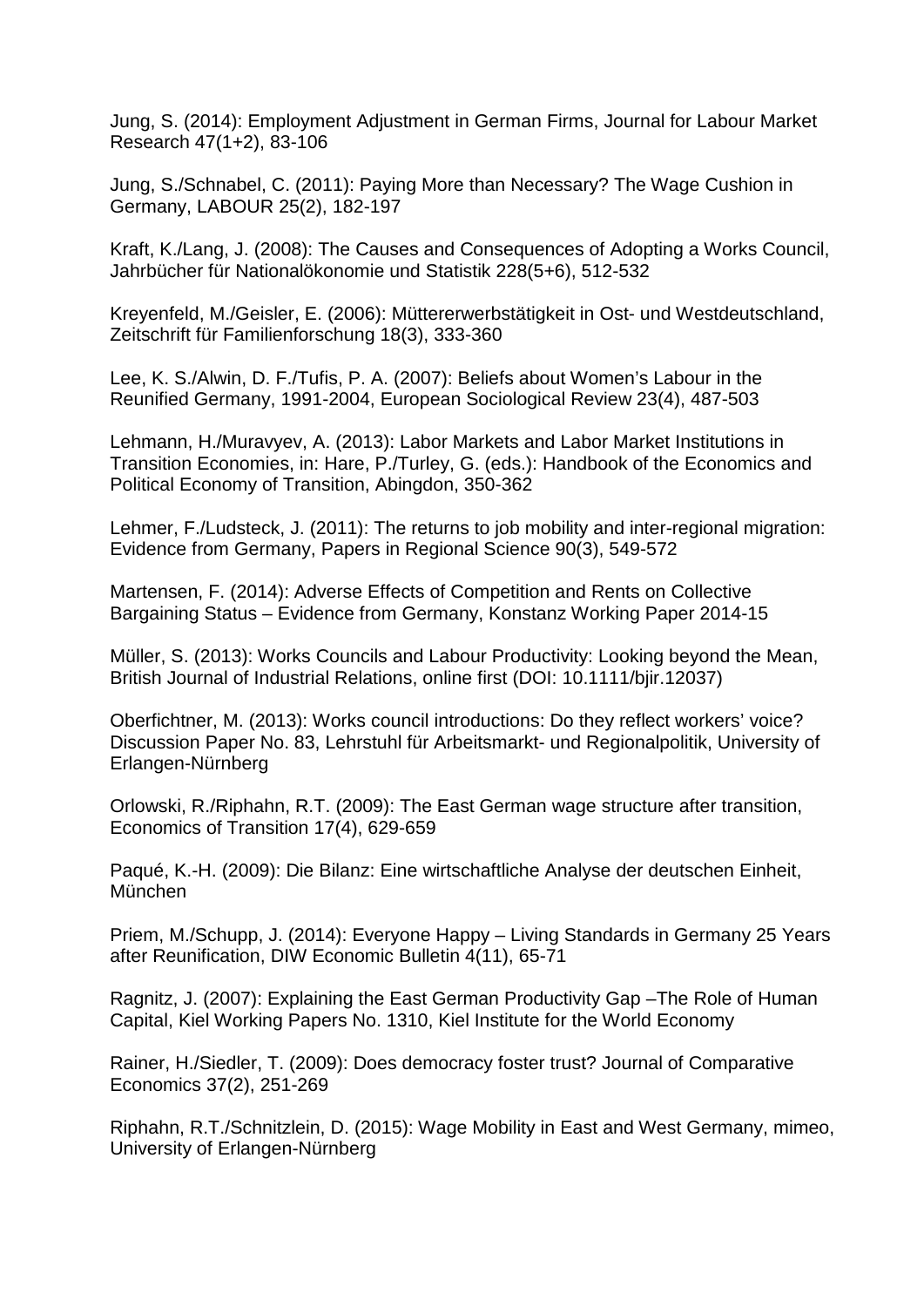Jung, S. (2014): Employment Adjustment in German Firms, Journal for Labour Market Research 47(1+2), 83-106

Jung, S./Schnabel, C. (2011): Paying More than Necessary? The Wage Cushion in Germany, LABOUR 25(2), 182-197

Kraft, K./Lang, J. (2008): The Causes and Consequences of Adopting a Works Council, Jahrbücher für Nationalökonomie und Statistik 228(5+6), 512-532

Kreyenfeld, M./Geisler, E. (2006): Müttererwerbstätigkeit in Ost- und Westdeutschland, Zeitschrift für Familienforschung 18(3), 333-360

Lee, K. S./Alwin, D. F./Tufis, P. A. (2007): Beliefs about Women's Labour in the Reunified Germany, 1991-2004, European Sociological Review 23(4), 487-503

Lehmann, H./Muravyev, A. (2013): Labor Markets and Labor Market Institutions in Transition Economies, in: Hare, P./Turley, G. (eds.): Handbook of the Economics and Political Economy of Transition, Abingdon, 350-362

Lehmer, F./Ludsteck, J. (2011): The returns to job mobility and inter-regional migration: Evidence from Germany, Papers in Regional Science 90(3), 549-572

Martensen, F. (2014): Adverse Effects of Competition and Rents on Collective Bargaining Status – Evidence from Germany, Konstanz Working Paper 2014-15

Müller, S. (2013): Works Councils and Labour Productivity: Looking beyond the Mean, British Journal of Industrial Relations, online first (DOI: 10.1111/bjir.12037)

Oberfichtner, M. (2013): Works council introductions: Do they reflect workers' voice? Discussion Paper No. 83, Lehrstuhl für Arbeitsmarkt- und Regionalpolitik, University of Erlangen-Nürnberg

Orlowski, R./Riphahn, R.T. (2009): The East German wage structure after transition, Economics of Transition 17(4), 629-659

Paqué, K.-H. (2009): Die Bilanz: Eine wirtschaftliche Analyse der deutschen Einheit, München

Priem, M./Schupp, J. (2014): Everyone Happy – Living Standards in Germany 25 Years after Reunification, DIW Economic Bulletin 4(11), 65-71

Ragnitz, J. (2007): Explaining the East German Productivity Gap –The Role of Human Capital, Kiel Working Papers No. 1310, Kiel Institute for the World Economy

Rainer, H./Siedler, T. (2009): Does democracy foster trust? Journal of Comparative Economics 37(2), 251-269

Riphahn, R.T./Schnitzlein, D. (2015): Wage Mobility in East and West Germany, mimeo, University of Erlangen-Nürnberg